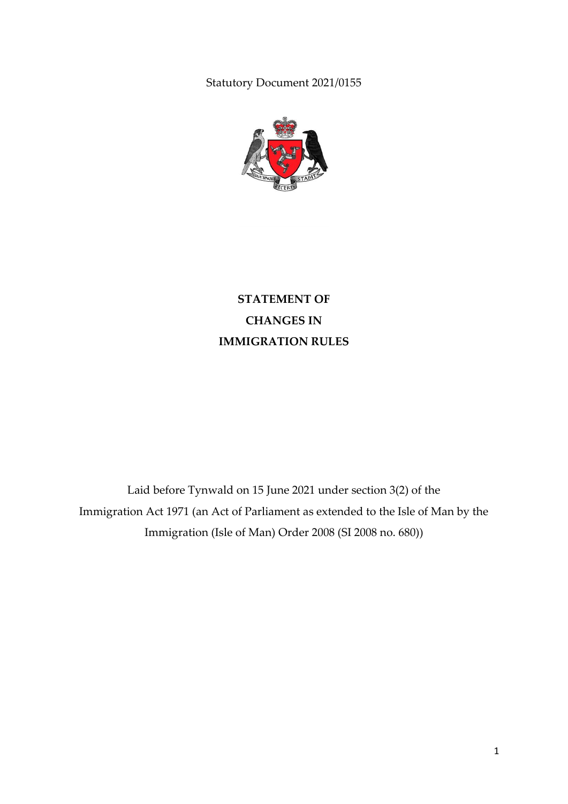Statutory Document 2021/0155



**STATEMENT OF CHANGES IN IMMIGRATION RULES**

Laid before Tynwald on 15 June 2021 under section 3(2) of the Immigration Act 1971 (an Act of Parliament as extended to the Isle of Man by the Immigration (Isle of Man) Order 2008 (SI 2008 no. 680))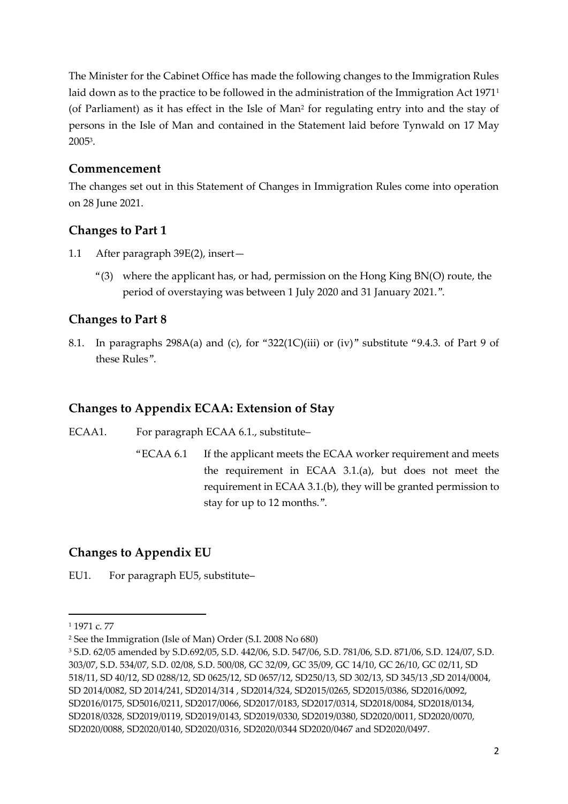The Minister for the Cabinet Office has made the following changes to the Immigration Rules laid down as to the practice to be followed in the administration of the Immigration Act 1971<sup>1</sup> (of Parliament) as it has effect in the Isle of Man<sup>2</sup> for regulating entry into and the stay of persons in the Isle of Man and contained in the Statement laid before Tynwald on 17 May 2005<sup>3</sup> .

# **Commencement**

The changes set out in this Statement of Changes in Immigration Rules come into operation on 28 June 2021.

# **Changes to Part 1**

- 1.1 After paragraph 39E(2), insert—
	- "(3) where the applicant has, or had, permission on the Hong King BN(O) route, the period of overstaying was between 1 July 2020 and 31 January 2021.".

# **Changes to Part 8**

8.1. In paragraphs  $298A(a)$  and (c), for "322(1C)(iii) or (iv)" substitute "9.4.3. of Part 9 of these Rules".

## **Changes to Appendix ECAA: Extension of Stay**

ECAA1. For paragraph ECAA 6.1., substitute–

"ECAA 6.1 If the applicant meets the ECAA worker requirement and meets the requirement in ECAA 3.1.(a), but does not meet the requirement in ECAA 3.1.(b), they will be granted permission to stay for up to 12 months.".

# **Changes to Appendix EU**

EU1. For paragraph EU5, substitute–

<sup>1</sup> 1971 c. 77

<sup>2</sup> See the Immigration (Isle of Man) Order (S.I. 2008 No 680)

<sup>3</sup> S.D. 62/05 amended by S.D.692/05, S.D. 442/06, S.D. 547/06, S.D. 781/06, S.D. 871/06, S.D. 124/07, S.D. 303/07, S.D. 534/07, S.D. 02/08, S.D. 500/08, GC 32/09, GC 35/09, GC 14/10, GC 26/10, GC 02/11, SD 518/11, SD 40/12, SD 0288/12, SD 0625/12, SD 0657/12, SD250/13, SD 302/13, SD 345/13 ,SD 2014/0004, SD 2014/0082, SD 2014/241, SD2014/314 , SD2014/324, SD2015/0265, SD2015/0386, SD2016/0092, SD2016/0175, SD5016/0211, SD2017/0066, SD2017/0183, SD2017/0314, SD2018/0084, SD2018/0134, SD2018/0328, SD2019/0119, SD2019/0143, SD2019/0330, SD2019/0380, SD2020/0011, SD2020/0070, SD2020/0088, SD2020/0140, SD2020/0316, SD2020/0344 SD2020/0467 and SD2020/0497.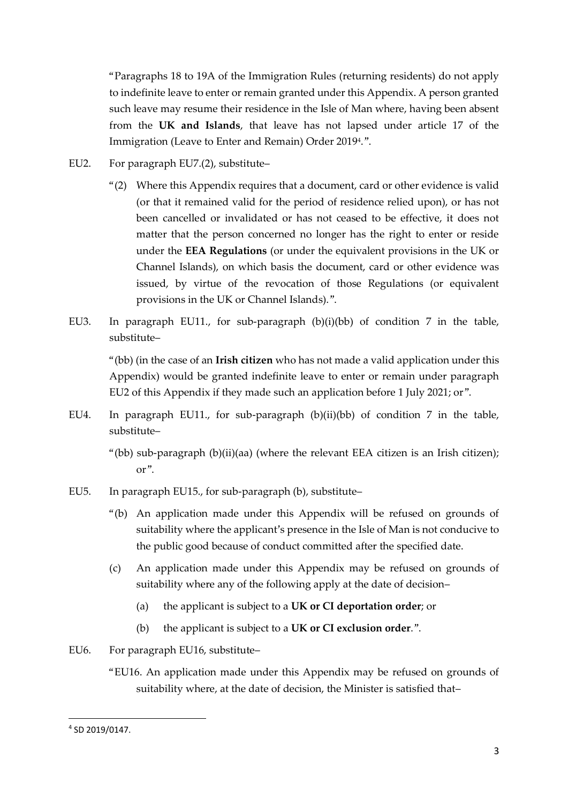"Paragraphs 18 to 19A of the Immigration Rules (returning residents) do not apply to indefinite leave to enter or remain granted under this Appendix. A person granted such leave may resume their residence in the Isle of Man where, having been absent from the **UK and Islands**, that leave has not lapsed under article 17 of the Immigration (Leave to Enter and Remain) Order 2019<sup>4</sup> .".

- EU2. For paragraph EU7.(2), substitute–
	- "(2) Where this Appendix requires that a document, card or other evidence is valid (or that it remained valid for the period of residence relied upon), or has not been cancelled or invalidated or has not ceased to be effective, it does not matter that the person concerned no longer has the right to enter or reside under the **EEA Regulations** (or under the equivalent provisions in the UK or Channel Islands), on which basis the document, card or other evidence was issued, by virtue of the revocation of those Regulations (or equivalent provisions in the UK or Channel Islands).".
- EU3. In paragraph EU11., for sub-paragraph (b)(i)(bb) of condition 7 in the table, substitute–

"(bb) (in the case of an **Irish citizen** who has not made a valid application under this Appendix) would be granted indefinite leave to enter or remain under paragraph EU2 of this Appendix if they made such an application before 1 July 2021; or".

- EU4. In paragraph EU11., for sub-paragraph (b)(ii)(bb) of condition 7 in the table, substitute–
	- "(bb) sub-paragraph (b)(ii)(aa) (where the relevant EEA citizen is an Irish citizen); or".
- EU5. In paragraph EU15., for sub-paragraph (b), substitute–
	- "(b) An application made under this Appendix will be refused on grounds of suitability where the applicant's presence in the Isle of Man is not conducive to the public good because of conduct committed after the specified date.
	- (c) An application made under this Appendix may be refused on grounds of suitability where any of the following apply at the date of decision–
		- (a) the applicant is subject to a **UK or CI deportation order**; or
		- (b) the applicant is subject to a **UK or CI exclusion order**.".
- EU6. For paragraph EU16, substitute–
	- "EU16. An application made under this Appendix may be refused on grounds of suitability where, at the date of decision, the Minister is satisfied that–

<sup>4</sup> SD 2019/0147.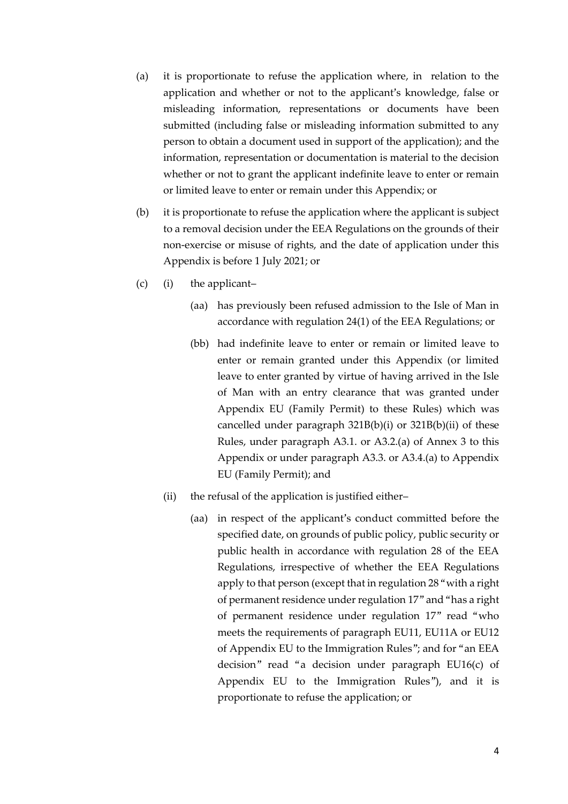- (a) it is proportionate to refuse the application where, in relation to the application and whether or not to the applicant's knowledge, false or misleading information, representations or documents have been submitted (including false or misleading information submitted to any person to obtain a document used in support of the application); and the information, representation or documentation is material to the decision whether or not to grant the applicant indefinite leave to enter or remain or limited leave to enter or remain under this Appendix; or
- (b) it is proportionate to refuse the application where the applicant is subject to a removal decision under the EEA Regulations on the grounds of their non-exercise or misuse of rights, and the date of application under this Appendix is before 1 July 2021; or
- (c) (i) the applicant–
	- (aa) has previously been refused admission to the Isle of Man in accordance with regulation 24(1) of the EEA Regulations; or
	- (bb) had indefinite leave to enter or remain or limited leave to enter or remain granted under this Appendix (or limited leave to enter granted by virtue of having arrived in the Isle of Man with an entry clearance that was granted under Appendix EU (Family Permit) to these Rules) which was cancelled under paragraph 321B(b)(i) or 321B(b)(ii) of these Rules, under paragraph A3.1. or A3.2.(a) of Annex 3 to this Appendix or under paragraph A3.3. or A3.4.(a) to Appendix EU (Family Permit); and
	- (ii) the refusal of the application is justified either–
		- (aa) in respect of the applicant's conduct committed before the specified date, on grounds of public policy, public security or public health in accordance with regulation 28 of the EEA Regulations, irrespective of whether the EEA Regulations apply to that person (except that in regulation 28 "with a right of permanent residence under regulation 17" and "has a right of permanent residence under regulation 17" read "who meets the requirements of paragraph EU11, EU11A or EU12 of Appendix EU to the Immigration Rules"; and for "an EEA decision" read "a decision under paragraph EU16(c) of Appendix EU to the Immigration Rules"), and it is proportionate to refuse the application; or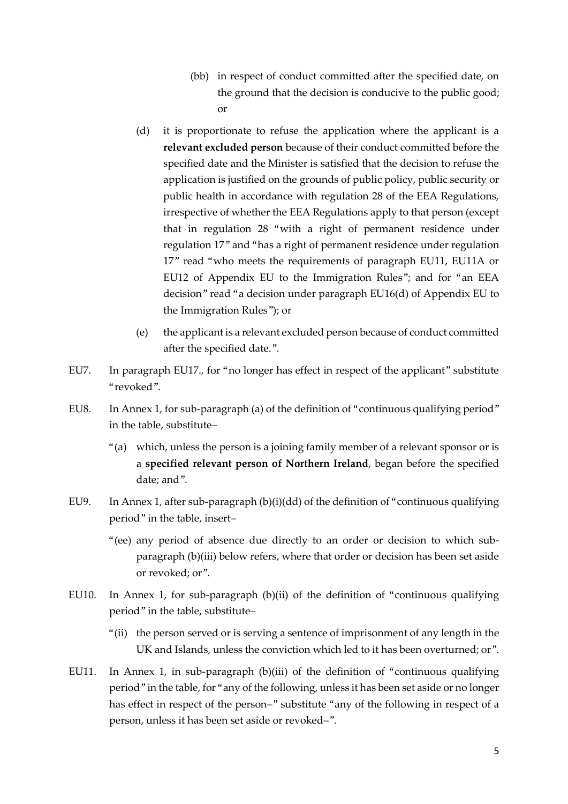- (bb) in respect of conduct committed after the specified date, on the ground that the decision is conducive to the public good; or
- (d) it is proportionate to refuse the application where the applicant is a **relevant excluded person** because of their conduct committed before the specified date and the Minister is satisfied that the decision to refuse the application is justified on the grounds of public policy, public security or public health in accordance with regulation 28 of the EEA Regulations, irrespective of whether the EEA Regulations apply to that person (except that in regulation 28 "with a right of permanent residence under regulation 17" and "has a right of permanent residence under regulation 17" read "who meets the requirements of paragraph EU11, EU11A or EU12 of Appendix EU to the Immigration Rules"; and for "an EEA decision" read "a decision under paragraph EU16(d) of Appendix EU to the Immigration Rules"); or
- (e) the applicant is a relevant excluded person because of conduct committed after the specified date.".
- EU7. In paragraph EU17., for "no longer has effect in respect of the applicant" substitute "revoked".
- EU8. In Annex 1, for sub-paragraph (a) of the definition of "continuous qualifying period" in the table, substitute–
	- "(a) which, unless the person is a joining family member of a relevant sponsor or is a **specified relevant person of Northern Ireland**, began before the specified date; and".
- EU9. In Annex 1, after sub-paragraph (b)(i)(dd) of the definition of "continuous qualifying period" in the table, insert–
	- "(ee) any period of absence due directly to an order or decision to which subparagraph (b)(iii) below refers, where that order or decision has been set aside or revoked; or".
- EU10. In Annex 1, for sub-paragraph (b)(ii) of the definition of "continuous qualifying period" in the table, substitute–
	- "(ii) the person served or is serving a sentence of imprisonment of any length in the UK and Islands, unless the conviction which led to it has been overturned; or".
- EU11. In Annex 1, in sub-paragraph (b)(iii) of the definition of "continuous qualifying period" in the table, for "any of the following, unless it has been set aside or no longer has effect in respect of the person–" substitute "any of the following in respect of a person, unless it has been set aside or revoked–".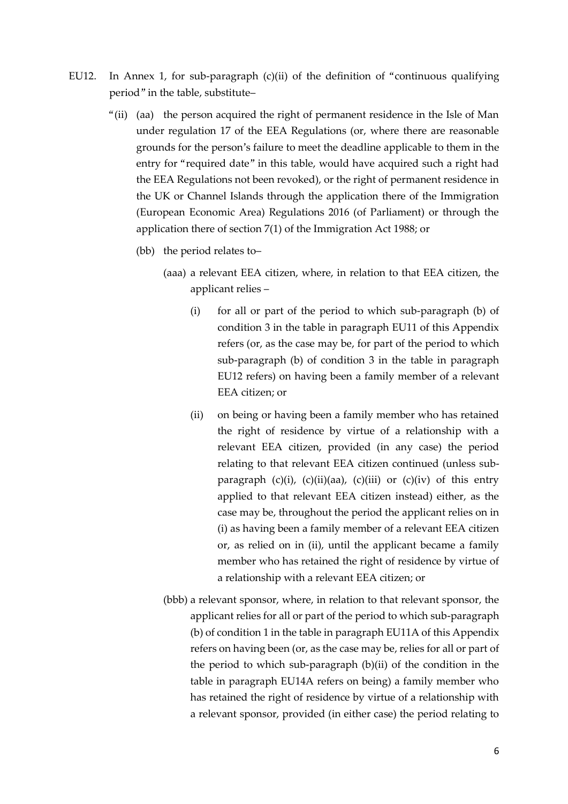- EU12. In Annex 1, for sub-paragraph (c)(ii) of the definition of "continuous qualifying period" in the table, substitute–
	- "(ii) (aa) the person acquired the right of permanent residence in the Isle of Man under regulation 17 of the EEA Regulations (or, where there are reasonable grounds for the person's failure to meet the deadline applicable to them in the entry for "required date" in this table, would have acquired such a right had the EEA Regulations not been revoked), or the right of permanent residence in the UK or Channel Islands through the application there of the Immigration (European Economic Area) Regulations 2016 (of Parliament) or through the application there of section 7(1) of the Immigration Act 1988; or
		- (bb) the period relates to–
			- (aaa) a relevant EEA citizen, where, in relation to that EEA citizen, the applicant relies –
				- (i) for all or part of the period to which sub-paragraph (b) of condition 3 in the table in paragraph EU11 of this Appendix refers (or, as the case may be, for part of the period to which sub-paragraph (b) of condition 3 in the table in paragraph EU12 refers) on having been a family member of a relevant EEA citizen; or
				- (ii) on being or having been a family member who has retained the right of residence by virtue of a relationship with a relevant EEA citizen, provided (in any case) the period relating to that relevant EEA citizen continued (unless subparagraph  $(c)(i)$ ,  $(c)(ii)(aa)$ ,  $(c)(iii)$  or  $(c)(iv)$  of this entry applied to that relevant EEA citizen instead) either, as the case may be, throughout the period the applicant relies on in (i) as having been a family member of a relevant EEA citizen or, as relied on in (ii), until the applicant became a family member who has retained the right of residence by virtue of a relationship with a relevant EEA citizen; or
			- (bbb) a relevant sponsor, where, in relation to that relevant sponsor, the applicant relies for all or part of the period to which sub-paragraph (b) of condition 1 in the table in paragraph EU11A of this Appendix refers on having been (or, as the case may be, relies for all or part of the period to which sub-paragraph (b)(ii) of the condition in the table in paragraph EU14A refers on being) a family member who has retained the right of residence by virtue of a relationship with a relevant sponsor, provided (in either case) the period relating to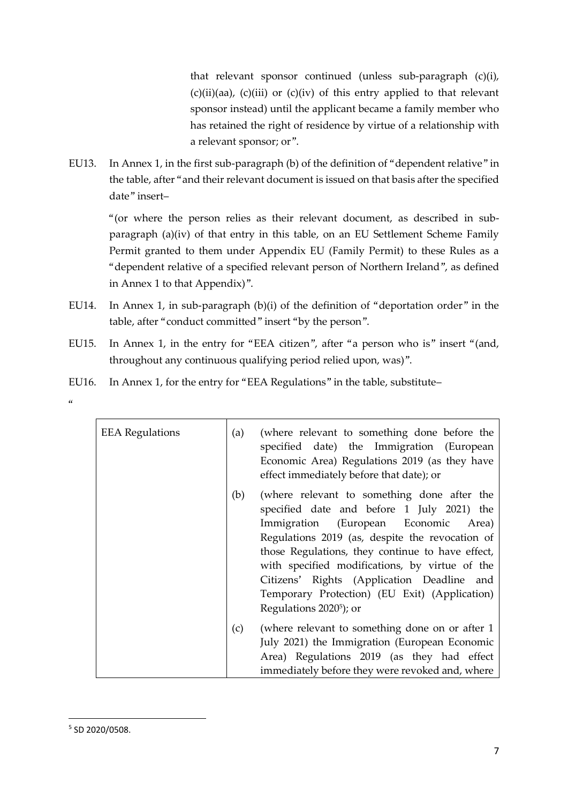that relevant sponsor continued (unless sub-paragraph (c)(i),  $(c)(ii)(aa)$ ,  $(c)(iii)$  or  $(c)(iv)$  of this entry applied to that relevant sponsor instead) until the applicant became a family member who has retained the right of residence by virtue of a relationship with a relevant sponsor; or".

EU13. In Annex 1, in the first sub-paragraph (b) of the definition of "dependent relative" in the table, after "and their relevant document is issued on that basis after the specified date" insert–

"(or where the person relies as their relevant document, as described in subparagraph (a)(iv) of that entry in this table, on an EU Settlement Scheme Family Permit granted to them under Appendix EU (Family Permit) to these Rules as a "dependent relative of a specified relevant person of Northern Ireland", as defined in Annex 1 to that Appendix)".

- EU14. In Annex 1, in sub-paragraph (b)(i) of the definition of "deportation order" in the table, after "conduct committed" insert "by the person".
- EU15. In Annex 1, in the entry for "EEA citizen", after "a person who is" insert "(and, throughout any continuous qualifying period relied upon, was)".
- EU16. In Annex 1, for the entry for "EEA Regulations" in the table, substitute–
- .<br>"

| <b>EEA Regulations</b> | (a) | (where relevant to something done before the<br>specified date) the Immigration (European<br>Economic Area) Regulations 2019 (as they have<br>effect immediately before that date); or                                                                                                                                                                                                                                              |
|------------------------|-----|-------------------------------------------------------------------------------------------------------------------------------------------------------------------------------------------------------------------------------------------------------------------------------------------------------------------------------------------------------------------------------------------------------------------------------------|
|                        | (b) | (where relevant to something done after the<br>specified date and before 1 July 2021) the<br>Immigration (European Economic<br>Area)<br>Regulations 2019 (as, despite the revocation of<br>those Regulations, they continue to have effect,<br>with specified modifications, by virtue of the<br>Citizens' Rights (Application Deadline and<br>Temporary Protection) (EU Exit) (Application)<br>Regulations 2020 <sup>5</sup> ); or |
|                        | (c) | (where relevant to something done on or after 1)<br>July 2021) the Immigration (European Economic<br>Area) Regulations 2019 (as they had effect<br>immediately before they were revoked and, where                                                                                                                                                                                                                                  |

<sup>5</sup> SD 2020/0508.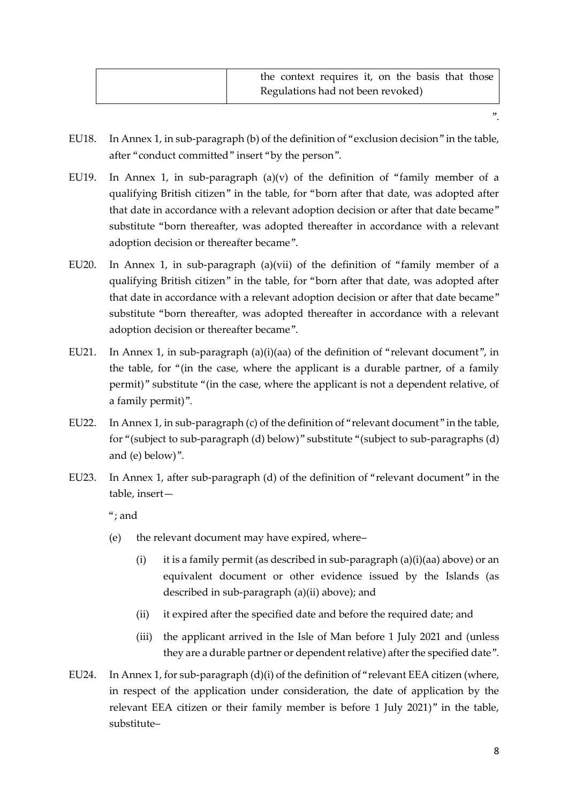| the context requires it, on the basis that those |
|--------------------------------------------------|
| Regulations had not been revoked)                |

- EU18. In Annex 1, in sub-paragraph (b) of the definition of "exclusion decision" in the table, after "conduct committed" insert "by the person".
- EU19. In Annex 1, in sub-paragraph  $(a)(v)$  of the definition of "family member of a qualifying British citizen" in the table, for "born after that date, was adopted after that date in accordance with a relevant adoption decision or after that date became" substitute "born thereafter, was adopted thereafter in accordance with a relevant adoption decision or thereafter became".
- EU20. In Annex 1, in sub-paragraph (a)(vii) of the definition of "family member of a qualifying British citizen" in the table, for "born after that date, was adopted after that date in accordance with a relevant adoption decision or after that date became" substitute "born thereafter, was adopted thereafter in accordance with a relevant adoption decision or thereafter became".
- EU21. In Annex 1, in sub-paragraph (a)(i)(aa) of the definition of "relevant document", in the table, for "(in the case, where the applicant is a durable partner, of a family permit)" substitute "(in the case, where the applicant is not a dependent relative, of a family permit)".
- EU22. In Annex 1, in sub-paragraph (c) of the definition of "relevant document" in the table, for "(subject to sub-paragraph (d) below)" substitute "(subject to sub-paragraphs (d) and (e) below)".
- EU23. In Annex 1, after sub-paragraph (d) of the definition of "relevant document" in the table, insert—

"; and

- (e) the relevant document may have expired, where–
	- (i) it is a family permit (as described in sub-paragraph  $(a)(i)(aa)$  above) or an equivalent document or other evidence issued by the Islands (as described in sub-paragraph (a)(ii) above); and
	- (ii) it expired after the specified date and before the required date; and
	- (iii) the applicant arrived in the Isle of Man before 1 July 2021 and (unless they are a durable partner or dependent relative) after the specified date".
- EU24. In Annex 1, for sub-paragraph (d)(i) of the definition of "relevant EEA citizen (where, in respect of the application under consideration, the date of application by the relevant EEA citizen or their family member is before 1 July 2021)" in the table, substitute–

".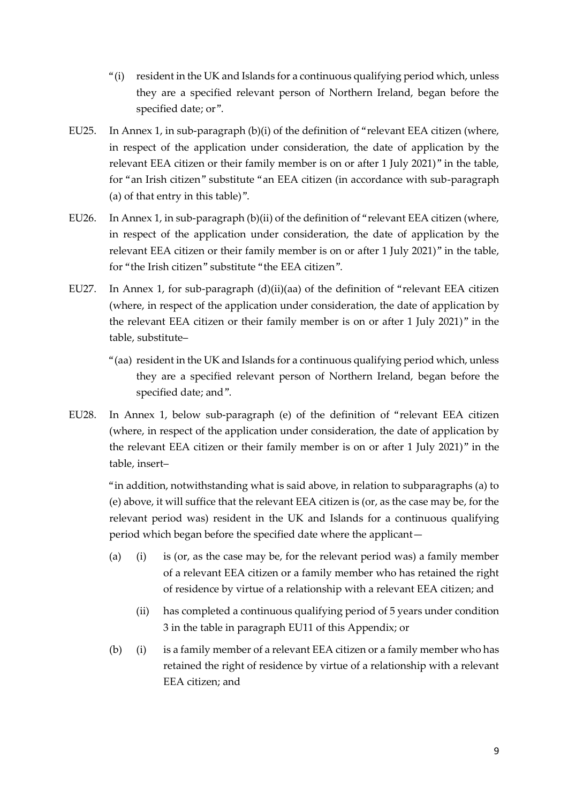- " $(i)$  resident in the UK and Islands for a continuous qualifying period which, unless they are a specified relevant person of Northern Ireland, began before the specified date; or".
- EU25. In Annex 1, in sub-paragraph (b)(i) of the definition of "relevant EEA citizen (where, in respect of the application under consideration, the date of application by the relevant EEA citizen or their family member is on or after 1 July 2021)" in the table, for "an Irish citizen" substitute "an EEA citizen (in accordance with sub-paragraph (a) of that entry in this table)".
- EU26. In Annex 1, in sub-paragraph (b)(ii) of the definition of "relevant EEA citizen (where, in respect of the application under consideration, the date of application by the relevant EEA citizen or their family member is on or after 1 July 2021)" in the table, for "the Irish citizen" substitute "the EEA citizen".
- EU27. In Annex 1, for sub-paragraph (d)(ii)(aa) of the definition of "relevant EEA citizen (where, in respect of the application under consideration, the date of application by the relevant EEA citizen or their family member is on or after 1 July 2021)" in the table, substitute–
	- "(aa) resident in the UK and Islands for a continuous qualifying period which, unless they are a specified relevant person of Northern Ireland, began before the specified date; and".
- EU28. In Annex 1, below sub-paragraph (e) of the definition of "relevant EEA citizen (where, in respect of the application under consideration, the date of application by the relevant EEA citizen or their family member is on or after 1 July 2021)" in the table, insert–

"in addition, notwithstanding what is said above, in relation to subparagraphs (a) to (e) above, it will suffice that the relevant EEA citizen is (or, as the case may be, for the relevant period was) resident in the UK and Islands for a continuous qualifying period which began before the specified date where the applicant—

- (a) (i) is (or, as the case may be, for the relevant period was) a family member of a relevant EEA citizen or a family member who has retained the right of residence by virtue of a relationship with a relevant EEA citizen; and
	- (ii) has completed a continuous qualifying period of 5 years under condition 3 in the table in paragraph EU11 of this Appendix; or
- (b) (i) is a family member of a relevant EEA citizen or a family member who has retained the right of residence by virtue of a relationship with a relevant EEA citizen; and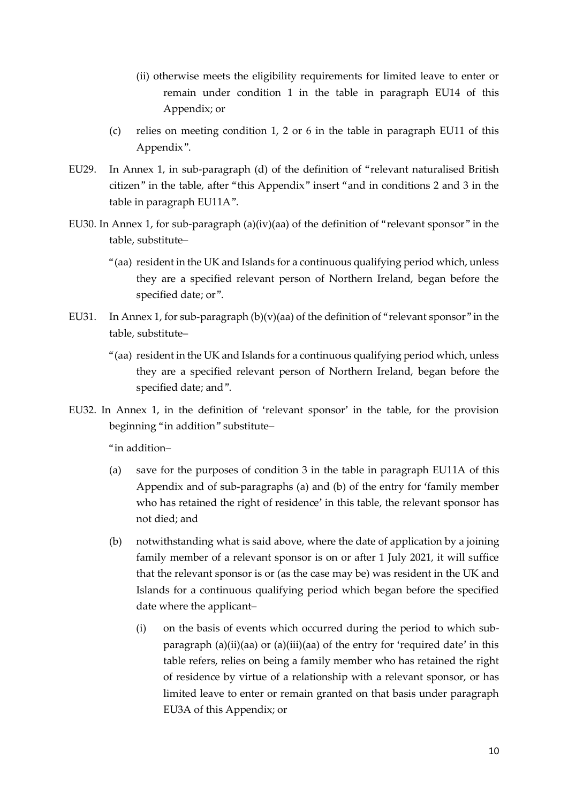- (ii) otherwise meets the eligibility requirements for limited leave to enter or remain under condition 1 in the table in paragraph EU14 of this Appendix; or
- (c) relies on meeting condition 1, 2 or 6 in the table in paragraph EU11 of this Appendix".
- EU29. In Annex 1, in sub-paragraph (d) of the definition of "relevant naturalised British citizen" in the table, after "this Appendix" insert "and in conditions 2 and 3 in the table in paragraph EU11A".
- EU30. In Annex 1, for sub-paragraph (a)(iv)(aa) of the definition of "relevant sponsor" in the table, substitute–
	- "(aa) resident in the UK and Islands for a continuous qualifying period which, unless they are a specified relevant person of Northern Ireland, began before the specified date; or".
- EU31. In Annex 1, for sub-paragraph  $(b)(v)(aa)$  of the definition of "relevant sponsor" in the table, substitute–
	- "(aa) resident in the UK and Islands for a continuous qualifying period which, unless they are a specified relevant person of Northern Ireland, began before the specified date; and".
- EU32. In Annex 1, in the definition of 'relevant sponsor' in the table, for the provision beginning "in addition" substitute–

"in addition–

- (a) save for the purposes of condition 3 in the table in paragraph EU11A of this Appendix and of sub-paragraphs (a) and (b) of the entry for 'family member who has retained the right of residence' in this table, the relevant sponsor has not died; and
- (b) notwithstanding what is said above, where the date of application by a joining family member of a relevant sponsor is on or after 1 July 2021, it will suffice that the relevant sponsor is or (as the case may be) was resident in the UK and Islands for a continuous qualifying period which began before the specified date where the applicant–
	- (i) on the basis of events which occurred during the period to which subparagraph (a)(ii)(aa) or (a)(iii)(aa) of the entry for 'required date' in this table refers, relies on being a family member who has retained the right of residence by virtue of a relationship with a relevant sponsor, or has limited leave to enter or remain granted on that basis under paragraph EU3A of this Appendix; or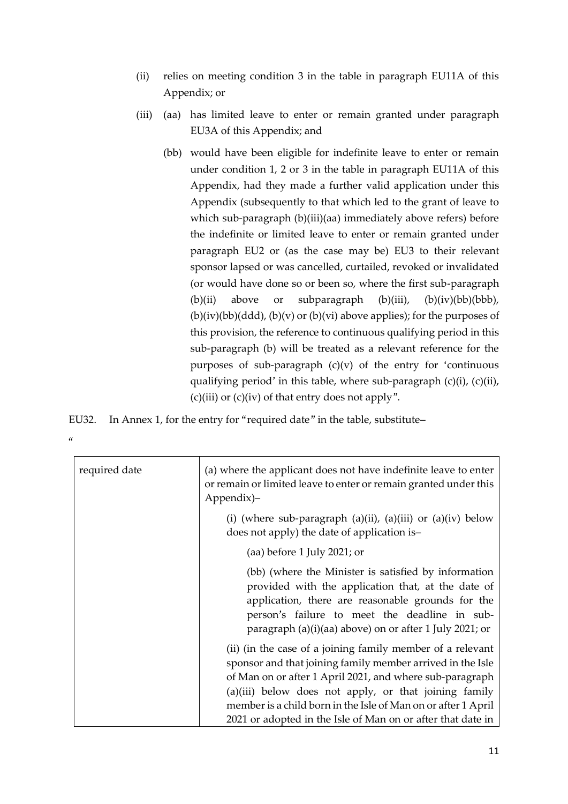- (ii) relies on meeting condition 3 in the table in paragraph EU11A of this Appendix; or
- (iii) (aa) has limited leave to enter or remain granted under paragraph EU3A of this Appendix; and
	- (bb) would have been eligible for indefinite leave to enter or remain under condition 1, 2 or 3 in the table in paragraph EU11A of this Appendix, had they made a further valid application under this Appendix (subsequently to that which led to the grant of leave to which sub-paragraph (b)(iii)(aa) immediately above refers) before the indefinite or limited leave to enter or remain granted under paragraph EU2 or (as the case may be) EU3 to their relevant sponsor lapsed or was cancelled, curtailed, revoked or invalidated (or would have done so or been so, where the first sub-paragraph (b)(ii) above or subparagraph (b)(iii),  $(b)(iv)(bb)(bbb)$ ,  $(b)(iv)(bb)(ddd)$ ,  $(b)(v)$  or  $(b)(vi)$  above applies); for the purposes of this provision, the reference to continuous qualifying period in this sub-paragraph (b) will be treated as a relevant reference for the purposes of sub-paragraph  $(c)(v)$  of the entry for 'continuous qualifying period' in this table, where sub-paragraph (c)(i), (c)(ii), (c)(iii) or (c)(iv) of that entry does not apply".

EU32. In Annex 1, for the entry for "required date" in the table, substitute–

| M. | o este a |  |
|----|----------|--|
|    |          |  |

| required date | (a) where the applicant does not have indefinite leave to enter<br>or remain or limited leave to enter or remain granted under this<br>Appendix)-                                                                                                                                                              |
|---------------|----------------------------------------------------------------------------------------------------------------------------------------------------------------------------------------------------------------------------------------------------------------------------------------------------------------|
|               | (i) (where sub-paragraph (a)(ii), (a)(iii) or (a)(iv) below<br>does not apply) the date of application is-                                                                                                                                                                                                     |
|               | (aa) before 1 July 2021; or                                                                                                                                                                                                                                                                                    |
|               | (bb) (where the Minister is satisfied by information<br>provided with the application that, at the date of<br>application, there are reasonable grounds for the<br>person's failure to meet the deadline in sub-<br>paragraph (a)(i)(aa) above) on or after 1 July 2021; or                                    |
|               | (ii) (in the case of a joining family member of a relevant<br>sponsor and that joining family member arrived in the Isle<br>of Man on or after 1 April 2021, and where sub-paragraph<br>(a)(iii) below does not apply, or that joining family<br>member is a child born in the Isle of Man on or after 1 April |
|               | 2021 or adopted in the Isle of Man on or after that date in                                                                                                                                                                                                                                                    |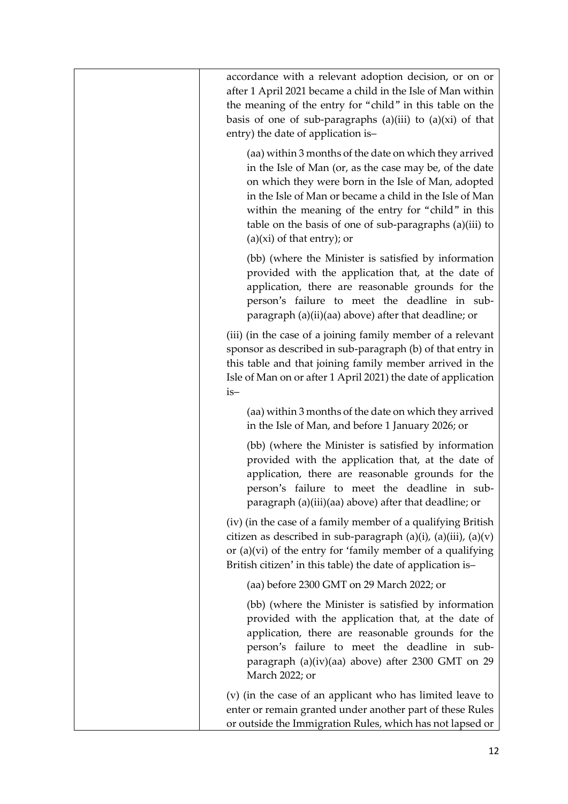| accordance with a relevant adoption decision, or on or<br>after 1 April 2021 became a child in the Isle of Man within<br>the meaning of the entry for "child" in this table on the<br>basis of one of sub-paragraphs $(a)(iii)$ to $(a)(xi)$ of that<br>entry) the date of application is-                                                                                              |
|-----------------------------------------------------------------------------------------------------------------------------------------------------------------------------------------------------------------------------------------------------------------------------------------------------------------------------------------------------------------------------------------|
| (aa) within 3 months of the date on which they arrived<br>in the Isle of Man (or, as the case may be, of the date<br>on which they were born in the Isle of Man, adopted<br>in the Isle of Man or became a child in the Isle of Man<br>within the meaning of the entry for "child" in this<br>table on the basis of one of sub-paragraphs $(a)(iii)$ to<br>$(a)(xi)$ of that entry); or |
| (bb) (where the Minister is satisfied by information<br>provided with the application that, at the date of<br>application, there are reasonable grounds for the<br>person's failure to meet the deadline in sub-<br>paragraph (a)(ii)(aa) above) after that deadline; or                                                                                                                |
| (iii) (in the case of a joining family member of a relevant<br>sponsor as described in sub-paragraph (b) of that entry in<br>this table and that joining family member arrived in the<br>Isle of Man on or after 1 April 2021) the date of application<br>$is-$                                                                                                                         |
| (aa) within 3 months of the date on which they arrived<br>in the Isle of Man, and before 1 January 2026; or                                                                                                                                                                                                                                                                             |
| (bb) (where the Minister is satisfied by information<br>provided with the application that, at the date of<br>application, there are reasonable grounds for the<br>person's failure to meet the deadline in sub-<br>paragraph (a)(iii)(aa) above) after that deadline; or                                                                                                               |
| (iv) (in the case of a family member of a qualifying British<br>citizen as described in sub-paragraph $(a)(i)$ , $(a)(iii)$ , $(a)(v)$<br>or $(a)(vi)$ of the entry for 'family member of a qualifying<br>British citizen' in this table) the date of application is-                                                                                                                   |
| (aa) before 2300 GMT on 29 March 2022; or                                                                                                                                                                                                                                                                                                                                               |
| (bb) (where the Minister is satisfied by information<br>provided with the application that, at the date of<br>application, there are reasonable grounds for the<br>person's failure to meet the deadline in sub-<br>paragraph (a)(iv)(aa) above) after 2300 GMT on 29<br>March 2022; or                                                                                                 |
| (v) (in the case of an applicant who has limited leave to<br>enter or remain granted under another part of these Rules<br>or outside the Immigration Rules, which has not lapsed or                                                                                                                                                                                                     |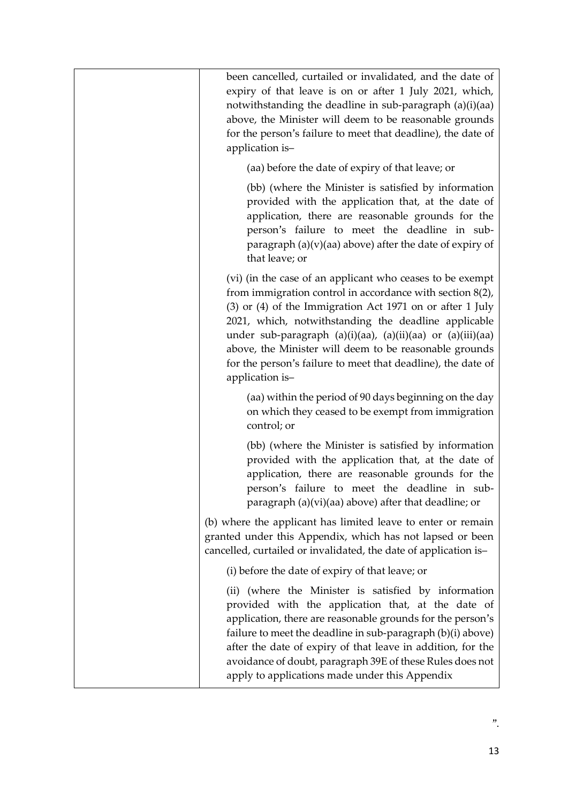| been cancelled, curtailed or invalidated, and the date of<br>expiry of that leave is on or after 1 July 2021, which,<br>notwithstanding the deadline in sub-paragraph (a)(i)(aa)<br>above, the Minister will deem to be reasonable grounds<br>for the person's failure to meet that deadline), the date of<br>application is-                                                                                                                                  |
|----------------------------------------------------------------------------------------------------------------------------------------------------------------------------------------------------------------------------------------------------------------------------------------------------------------------------------------------------------------------------------------------------------------------------------------------------------------|
| (aa) before the date of expiry of that leave; or                                                                                                                                                                                                                                                                                                                                                                                                               |
| (bb) (where the Minister is satisfied by information<br>provided with the application that, at the date of<br>application, there are reasonable grounds for the<br>person's failure to meet the deadline in sub-<br>paragraph $(a)(v)(aa)$ above) after the date of expiry of<br>that leave; or                                                                                                                                                                |
| (vi) (in the case of an applicant who ceases to be exempt<br>from immigration control in accordance with section $8(2)$ ,<br>$(3)$ or $(4)$ of the Immigration Act 1971 on or after 1 July<br>2021, which, notwithstanding the deadline applicable<br>under sub-paragraph (a)(i)(aa), (a)(ii)(aa) or (a)(iii)(aa)<br>above, the Minister will deem to be reasonable grounds<br>for the person's failure to meet that deadline), the date of<br>application is- |
| (aa) within the period of 90 days beginning on the day<br>on which they ceased to be exempt from immigration<br>control; or                                                                                                                                                                                                                                                                                                                                    |
| (bb) (where the Minister is satisfied by information<br>provided with the application that, at the date of<br>application, there are reasonable grounds for the<br>person's failure to meet the deadline in sub-<br>paragraph (a)(vi)(aa) above) after that deadline; or                                                                                                                                                                                       |
| (b) where the applicant has limited leave to enter or remain<br>granted under this Appendix, which has not lapsed or been<br>cancelled, curtailed or invalidated, the date of application is-                                                                                                                                                                                                                                                                  |
| (i) before the date of expiry of that leave; or                                                                                                                                                                                                                                                                                                                                                                                                                |
| (ii) (where the Minister is satisfied by information<br>provided with the application that, at the date of<br>application, there are reasonable grounds for the person's<br>failure to meet the deadline in sub-paragraph (b)(i) above)<br>after the date of expiry of that leave in addition, for the<br>avoidance of doubt, paragraph 39E of these Rules does not<br>apply to applications made under this Appendix                                          |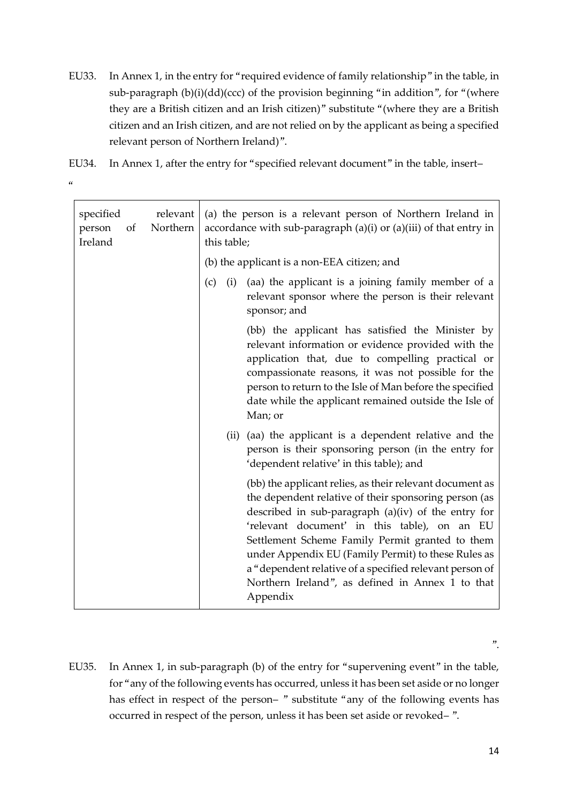EU33. In Annex 1, in the entry for "required evidence of family relationship" in the table, in sub-paragraph  $(b)(i)(dd)(ccc)$  of the provision beginning "in addition", for "(where they are a British citizen and an Irish citizen)" substitute "(where they are a British citizen and an Irish citizen, and are not relied on by the applicant as being a specified relevant person of Northern Ireland)".

EU34. In Annex 1, after the entry for "specified relevant document" in the table, insert–

 $\alpha$ 

| specified<br>person<br>Ireland | of | relevant<br>Northern | this table; | (a) the person is a relevant person of Northern Ireland in<br>accordance with sub-paragraph $(a)(i)$ or $(a)(iii)$ of that entry in                                                                                                                                                                                                                                                                                                                             |
|--------------------------------|----|----------------------|-------------|-----------------------------------------------------------------------------------------------------------------------------------------------------------------------------------------------------------------------------------------------------------------------------------------------------------------------------------------------------------------------------------------------------------------------------------------------------------------|
|                                |    |                      |             | (b) the applicant is a non-EEA citizen; and                                                                                                                                                                                                                                                                                                                                                                                                                     |
|                                |    |                      | (c)         | (i) (aa) the applicant is a joining family member of a<br>relevant sponsor where the person is their relevant<br>sponsor; and                                                                                                                                                                                                                                                                                                                                   |
|                                |    |                      |             | (bb) the applicant has satisfied the Minister by<br>relevant information or evidence provided with the<br>application that, due to compelling practical or<br>compassionate reasons, it was not possible for the<br>person to return to the Isle of Man before the specified<br>date while the applicant remained outside the Isle of<br>Man; or                                                                                                                |
|                                |    |                      | (ii)        | (aa) the applicant is a dependent relative and the<br>person is their sponsoring person (in the entry for<br>'dependent relative' in this table); and                                                                                                                                                                                                                                                                                                           |
|                                |    |                      |             | (bb) the applicant relies, as their relevant document as<br>the dependent relative of their sponsoring person (as<br>described in sub-paragraph $(a)(iv)$ of the entry for<br>'relevant document' in this table), on an EU<br>Settlement Scheme Family Permit granted to them<br>under Appendix EU (Family Permit) to these Rules as<br>a "dependent relative of a specified relevant person of<br>Northern Ireland", as defined in Annex 1 to that<br>Appendix |

EU35. In Annex 1, in sub-paragraph (b) of the entry for "supervening event" in the table, for "any of the following events has occurred, unless it has been set aside or no longer has effect in respect of the person-" substitute "any of the following events has occurred in respect of the person, unless it has been set aside or revoked– ".

".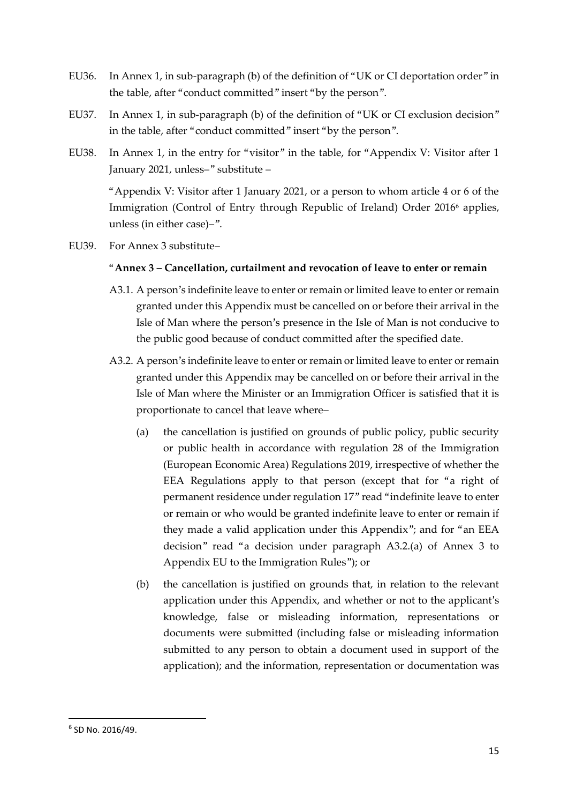- EU36. In Annex 1, in sub-paragraph (b) of the definition of "UK or CI deportation order" in the table, after "conduct committed" insert "by the person".
- EU37. In Annex 1, in sub-paragraph (b) of the definition of "UK or CI exclusion decision" in the table, after "conduct committed" insert "by the person".
- EU38. In Annex 1, in the entry for "visitor" in the table, for "Appendix V: Visitor after 1 January 2021, unless–" substitute –

"Appendix V: Visitor after 1 January 2021, or a person to whom article 4 or 6 of the Immigration (Control of Entry through Republic of Ireland) Order 2016<sup>6</sup> applies, unless (in either case)–".

EU39. For Annex 3 substitute–

#### "**Annex 3 – Cancellation, curtailment and revocation of leave to enter or remain**

- A3.1. A person's indefinite leave to enter or remain or limited leave to enter or remain granted under this Appendix must be cancelled on or before their arrival in the Isle of Man where the person's presence in the Isle of Man is not conducive to the public good because of conduct committed after the specified date.
- A3.2. A person's indefinite leave to enter or remain or limited leave to enter or remain granted under this Appendix may be cancelled on or before their arrival in the Isle of Man where the Minister or an Immigration Officer is satisfied that it is proportionate to cancel that leave where–
	- (a) the cancellation is justified on grounds of public policy, public security or public health in accordance with regulation 28 of the Immigration (European Economic Area) Regulations 2019, irrespective of whether the EEA Regulations apply to that person (except that for "a right of permanent residence under regulation 17" read "indefinite leave to enter or remain or who would be granted indefinite leave to enter or remain if they made a valid application under this Appendix"; and for "an EEA decision" read "a decision under paragraph A3.2.(a) of Annex 3 to Appendix EU to the Immigration Rules"); or
	- (b) the cancellation is justified on grounds that, in relation to the relevant application under this Appendix, and whether or not to the applicant's knowledge, false or misleading information, representations or documents were submitted (including false or misleading information submitted to any person to obtain a document used in support of the application); and the information, representation or documentation was

<sup>6</sup> SD No. 2016/49.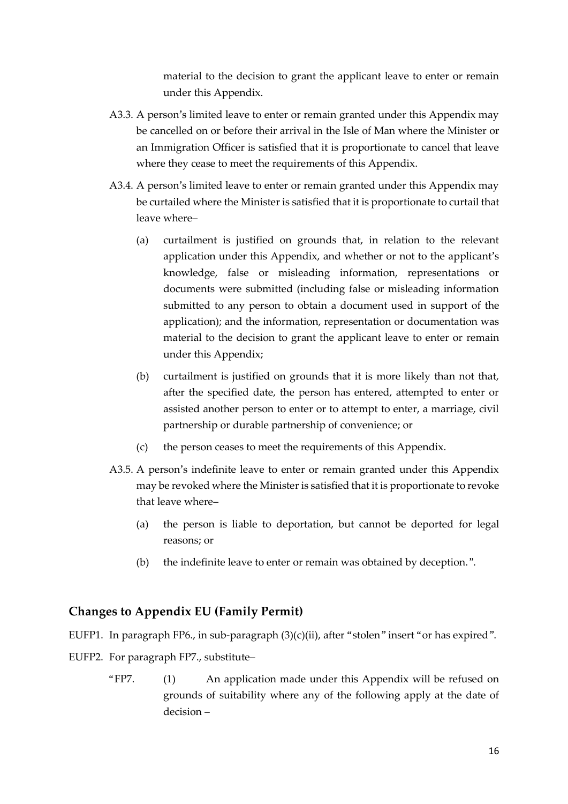material to the decision to grant the applicant leave to enter or remain under this Appendix.

- A3.3. A person's limited leave to enter or remain granted under this Appendix may be cancelled on or before their arrival in the Isle of Man where the Minister or an Immigration Officer is satisfied that it is proportionate to cancel that leave where they cease to meet the requirements of this Appendix.
- A3.4. A person's limited leave to enter or remain granted under this Appendix may be curtailed where the Minister is satisfied that it is proportionate to curtail that leave where–
	- (a) curtailment is justified on grounds that, in relation to the relevant application under this Appendix, and whether or not to the applicant's knowledge, false or misleading information, representations or documents were submitted (including false or misleading information submitted to any person to obtain a document used in support of the application); and the information, representation or documentation was material to the decision to grant the applicant leave to enter or remain under this Appendix;
	- (b) curtailment is justified on grounds that it is more likely than not that, after the specified date, the person has entered, attempted to enter or assisted another person to enter or to attempt to enter, a marriage, civil partnership or durable partnership of convenience; or
	- (c) the person ceases to meet the requirements of this Appendix.
- A3.5. A person's indefinite leave to enter or remain granted under this Appendix may be revoked where the Minister is satisfied that it is proportionate to revoke that leave where–
	- (a) the person is liable to deportation, but cannot be deported for legal reasons; or
	- (b) the indefinite leave to enter or remain was obtained by deception.".

#### **Changes to Appendix EU (Family Permit)**

EUFP1. In paragraph FP6., in sub-paragraph (3)(c)(ii), after "stolen" insert "or has expired".

- EUFP2. For paragraph FP7., substitute–
	- "FP7. (1) An application made under this Appendix will be refused on grounds of suitability where any of the following apply at the date of decision –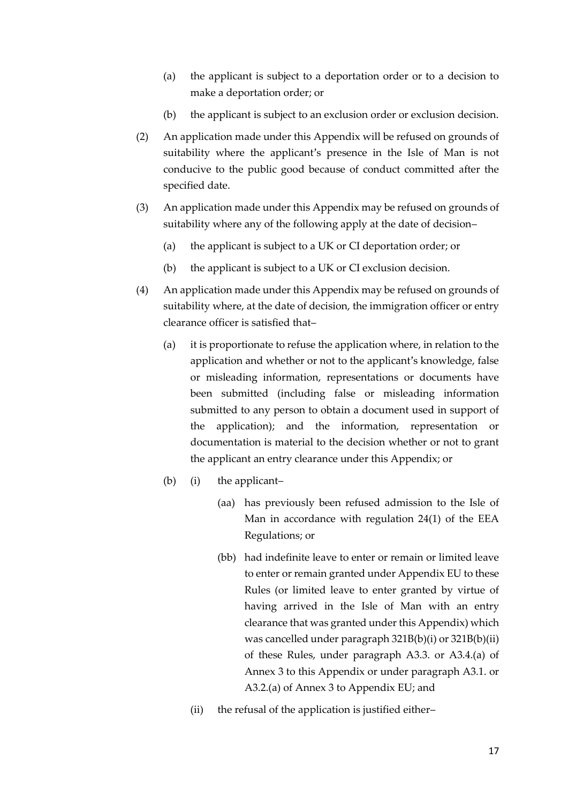- (a) the applicant is subject to a deportation order or to a decision to make a deportation order; or
- (b) the applicant is subject to an exclusion order or exclusion decision.
- (2) An application made under this Appendix will be refused on grounds of suitability where the applicant's presence in the Isle of Man is not conducive to the public good because of conduct committed after the specified date.
- (3) An application made under this Appendix may be refused on grounds of suitability where any of the following apply at the date of decision–
	- (a) the applicant is subject to a UK or CI deportation order; or
	- (b) the applicant is subject to a UK or CI exclusion decision.
- (4) An application made under this Appendix may be refused on grounds of suitability where, at the date of decision, the immigration officer or entry clearance officer is satisfied that–
	- (a) it is proportionate to refuse the application where, in relation to the application and whether or not to the applicant's knowledge, false or misleading information, representations or documents have been submitted (including false or misleading information submitted to any person to obtain a document used in support of the application); and the information, representation or documentation is material to the decision whether or not to grant the applicant an entry clearance under this Appendix; or
	- (b) (i) the applicant–
		- (aa) has previously been refused admission to the Isle of Man in accordance with regulation 24(1) of the EEA Regulations; or
		- (bb) had indefinite leave to enter or remain or limited leave to enter or remain granted under Appendix EU to these Rules (or limited leave to enter granted by virtue of having arrived in the Isle of Man with an entry clearance that was granted under this Appendix) which was cancelled under paragraph 321B(b)(i) or 321B(b)(ii) of these Rules, under paragraph A3.3. or A3.4.(a) of Annex 3 to this Appendix or under paragraph A3.1. or A3.2.(a) of Annex 3 to Appendix EU; and
		- (ii) the refusal of the application is justified either–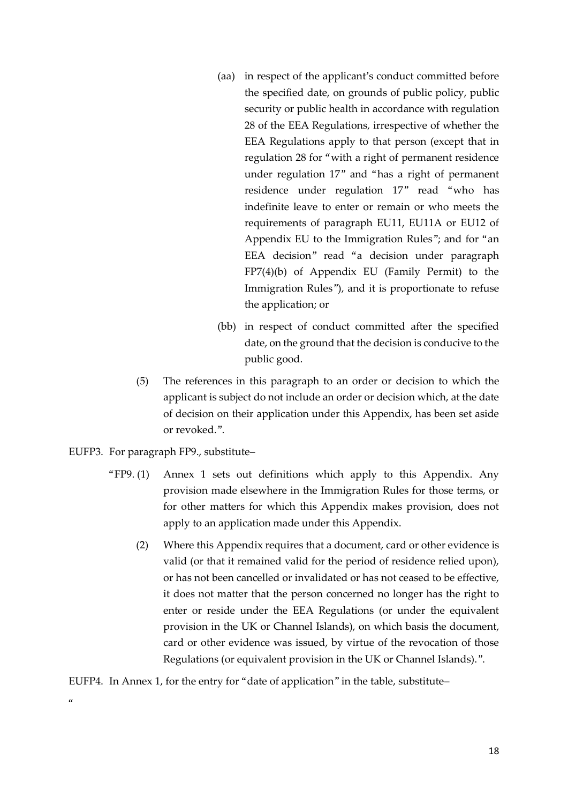- (aa) in respect of the applicant's conduct committed before the specified date, on grounds of public policy, public security or public health in accordance with regulation 28 of the EEA Regulations, irrespective of whether the EEA Regulations apply to that person (except that in regulation 28 for "with a right of permanent residence under regulation 17" and "has a right of permanent residence under regulation 17" read "who has indefinite leave to enter or remain or who meets the requirements of paragraph EU11, EU11A or EU12 of Appendix EU to the Immigration Rules"; and for "an EEA decision" read "a decision under paragraph FP7(4)(b) of Appendix EU (Family Permit) to the Immigration Rules"), and it is proportionate to refuse the application; or
- (bb) in respect of conduct committed after the specified date, on the ground that the decision is conducive to the public good.
- (5) The references in this paragraph to an order or decision to which the applicant is subject do not include an order or decision which, at the date of decision on their application under this Appendix, has been set aside or revoked.".
- EUFP3. For paragraph FP9., substitute–
	- "FP9. (1) Annex 1 sets out definitions which apply to this Appendix. Any provision made elsewhere in the Immigration Rules for those terms, or for other matters for which this Appendix makes provision, does not apply to an application made under this Appendix.
		- (2) Where this Appendix requires that a document, card or other evidence is valid (or that it remained valid for the period of residence relied upon), or has not been cancelled or invalidated or has not ceased to be effective, it does not matter that the person concerned no longer has the right to enter or reside under the EEA Regulations (or under the equivalent provision in the UK or Channel Islands), on which basis the document, card or other evidence was issued, by virtue of the revocation of those Regulations (or equivalent provision in the UK or Channel Islands).".

EUFP4. In Annex 1, for the entry for "date of application" in the table, substitute–

 $\alpha$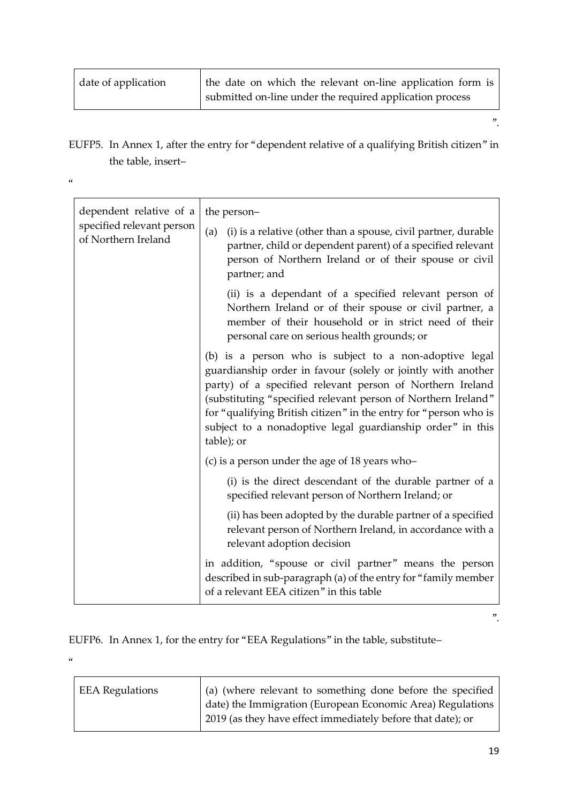| date of application | the date on which the relevant on-line application form is |
|---------------------|------------------------------------------------------------|
|                     | submitted on-line under the required application process   |

EUFP5. In Annex 1, after the entry for "dependent relative of a qualifying British citizen" in the table, insert–

 $\alpha$ 

| dependent relative of a<br>specified relevant person<br>of Northern Ireland | the person-                                                                                                                                                                                                                                                                                                                                                                                          |  |  |
|-----------------------------------------------------------------------------|------------------------------------------------------------------------------------------------------------------------------------------------------------------------------------------------------------------------------------------------------------------------------------------------------------------------------------------------------------------------------------------------------|--|--|
|                                                                             | (i) is a relative (other than a spouse, civil partner, durable<br>(a)<br>partner, child or dependent parent) of a specified relevant<br>person of Northern Ireland or of their spouse or civil<br>partner; and                                                                                                                                                                                       |  |  |
|                                                                             | (ii) is a dependant of a specified relevant person of<br>Northern Ireland or of their spouse or civil partner, a<br>member of their household or in strict need of their<br>personal care on serious health grounds; or                                                                                                                                                                              |  |  |
|                                                                             | (b) is a person who is subject to a non-adoptive legal<br>guardianship order in favour (solely or jointly with another<br>party) of a specified relevant person of Northern Ireland<br>(substituting "specified relevant person of Northern Ireland"<br>for "qualifying British citizen" in the entry for "person who is<br>subject to a nonadoptive legal guardianship order" in this<br>table); or |  |  |
|                                                                             | (c) is a person under the age of 18 years who-                                                                                                                                                                                                                                                                                                                                                       |  |  |
|                                                                             | (i) is the direct descendant of the durable partner of a<br>specified relevant person of Northern Ireland; or                                                                                                                                                                                                                                                                                        |  |  |
|                                                                             | (ii) has been adopted by the durable partner of a specified<br>relevant person of Northern Ireland, in accordance with a<br>relevant adoption decision                                                                                                                                                                                                                                               |  |  |
|                                                                             | in addition, "spouse or civil partner" means the person<br>described in sub-paragraph (a) of the entry for "family member<br>of a relevant EEA citizen" in this table                                                                                                                                                                                                                                |  |  |

".

".

EUFP6. In Annex 1, for the entry for "EEA Regulations" in the table, substitute–  $\alpha$ 

| <b>EEA Regulations</b> | (a) (where relevant to something done before the specified  |
|------------------------|-------------------------------------------------------------|
|                        | date) the Immigration (European Economic Area) Regulations  |
|                        | 2019 (as they have effect immediately before that date); or |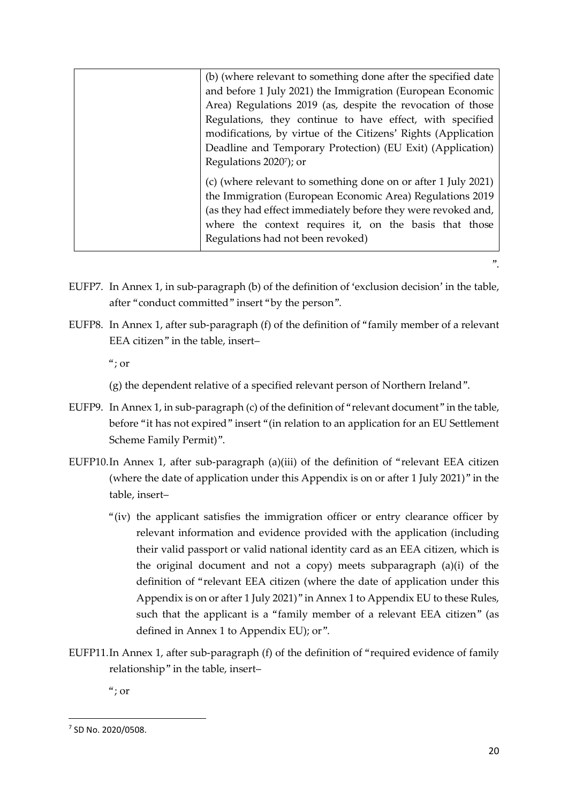| (b) (where relevant to something done after the specified date |
|----------------------------------------------------------------|
| and before 1 July 2021) the Immigration (European Economic     |
| Area) Regulations 2019 (as, despite the revocation of those    |
| Regulations, they continue to have effect, with specified      |
| modifications, by virtue of the Citizens' Rights (Application  |
| Deadline and Temporary Protection) (EU Exit) (Application)     |
| Regulations 2020 <sup>7</sup> ); or                            |
| (c) (where relevant to something done on or after 1 July 2021) |
| the Immigration (European Economic Area) Regulations 2019      |
| (as they had effect immediately before they were revoked and,  |
| where the context requires it, on the basis that those         |
| Regulations had not been revoked)                              |
|                                                                |

- EUFP7. In Annex 1, in sub-paragraph (b) of the definition of 'exclusion decision' in the table, after "conduct committed" insert "by the person".
- EUFP8. In Annex 1, after sub-paragraph (f) of the definition of "family member of a relevant EEA citizen" in the table, insert–

 $\alpha$ ; or

(g) the dependent relative of a specified relevant person of Northern Ireland".

- EUFP9. In Annex 1, in sub-paragraph (c) of the definition of "relevant document" in the table, before "it has not expired" insert "(in relation to an application for an EU Settlement Scheme Family Permit)".
- EUFP10.In Annex 1, after sub-paragraph (a)(iii) of the definition of "relevant EEA citizen (where the date of application under this Appendix is on or after 1 July 2021)" in the table, insert–
	- "(iv) the applicant satisfies the immigration officer or entry clearance officer by relevant information and evidence provided with the application (including their valid passport or valid national identity card as an EEA citizen, which is the original document and not a copy) meets subparagraph (a)(i) of the definition of "relevant EEA citizen (where the date of application under this Appendix is on or after 1 July 2021)" in Annex 1 to Appendix EU to these Rules, such that the applicant is a "family member of a relevant EEA citizen" (as defined in Annex 1 to Appendix EU); or".
- EUFP11.In Annex 1, after sub-paragraph (f) of the definition of "required evidence of family relationship" in the table, insert–

 $\alpha$ ; or

".

**<sup>.</sup>** 7 SD No. 2020/0508.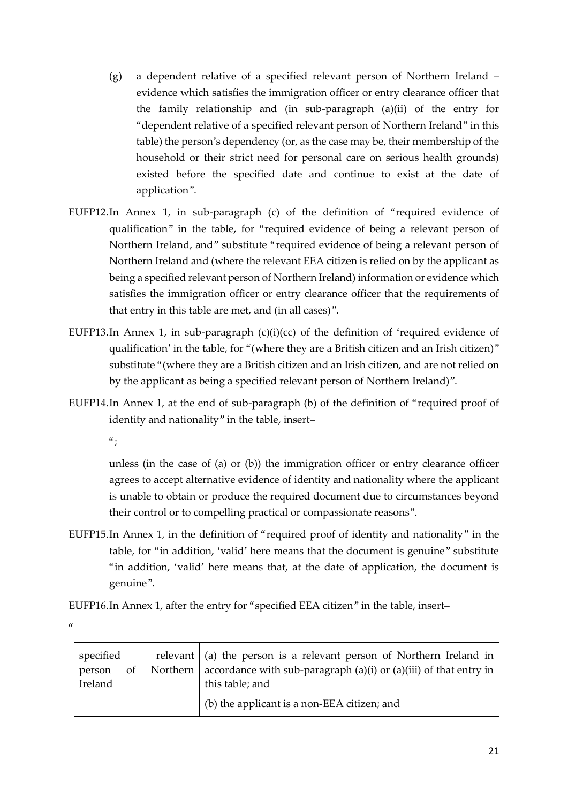- (g) a dependent relative of a specified relevant person of Northern Ireland evidence which satisfies the immigration officer or entry clearance officer that the family relationship and (in sub-paragraph (a)(ii) of the entry for "dependent relative of a specified relevant person of Northern Ireland" in this table) the person's dependency (or, as the case may be, their membership of the household or their strict need for personal care on serious health grounds) existed before the specified date and continue to exist at the date of application".
- EUFP12.In Annex 1, in sub-paragraph (c) of the definition of "required evidence of qualification" in the table, for "required evidence of being a relevant person of Northern Ireland, and" substitute "required evidence of being a relevant person of Northern Ireland and (where the relevant EEA citizen is relied on by the applicant as being a specified relevant person of Northern Ireland) information or evidence which satisfies the immigration officer or entry clearance officer that the requirements of that entry in this table are met, and (in all cases)".
- EUFP13.In Annex 1, in sub-paragraph  $(c)(i)(cc)$  of the definition of 'required evidence of qualification' in the table, for "(where they are a British citizen and an Irish citizen)" substitute "(where they are a British citizen and an Irish citizen, and are not relied on by the applicant as being a specified relevant person of Northern Ireland)".
- EUFP14.In Annex 1, at the end of sub-paragraph (b) of the definition of "required proof of identity and nationality" in the table, insert–

 $\frac{a}{i}$ 

unless (in the case of (a) or (b)) the immigration officer or entry clearance officer agrees to accept alternative evidence of identity and nationality where the applicant is unable to obtain or produce the required document due to circumstances beyond their control or to compelling practical or compassionate reasons".

EUFP15.In Annex 1, in the definition of "required proof of identity and nationality" in the table, for "in addition, 'valid' here means that the document is genuine" substitute "in addition, 'valid' here means that, at the date of application, the document is genuine".

EUFP16.In Annex 1, after the entry for "specified EEA citizen" in the table, insert–

 $\alpha$ 

| specified<br><sub>of</sub><br>person<br>Ireland | relevant $\vert$ (a) the person is a relevant person of Northern Ireland in<br>Northern   accordance with sub-paragraph (a)(i) or (a)(iii) of that entry in<br>this table; and |
|-------------------------------------------------|--------------------------------------------------------------------------------------------------------------------------------------------------------------------------------|
|                                                 | (b) the applicant is a non-EEA citizen; and                                                                                                                                    |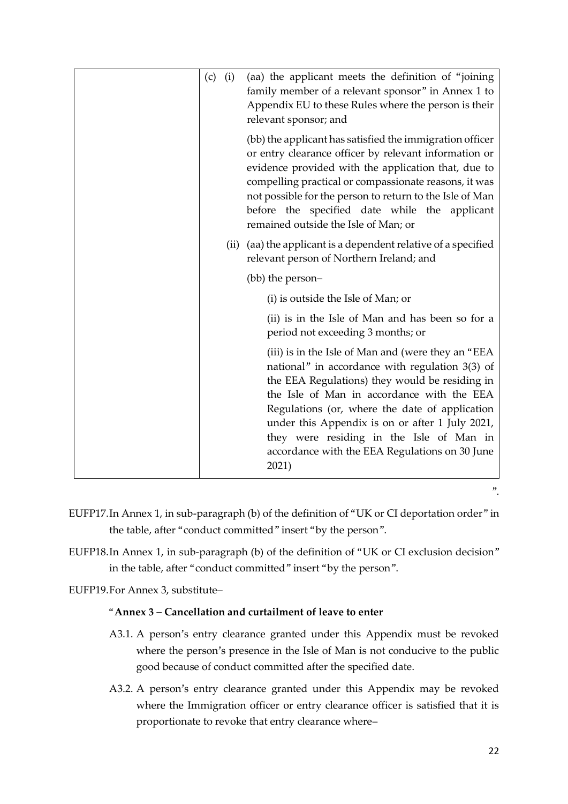| $(c)$ (i) | (aa) the applicant meets the definition of "joining<br>family member of a relevant sponsor" in Annex 1 to<br>Appendix EU to these Rules where the person is their<br>relevant sponsor; and                                                                                                                                                                                                                          |
|-----------|---------------------------------------------------------------------------------------------------------------------------------------------------------------------------------------------------------------------------------------------------------------------------------------------------------------------------------------------------------------------------------------------------------------------|
|           | (bb) the applicant has satisfied the immigration officer<br>or entry clearance officer by relevant information or<br>evidence provided with the application that, due to<br>compelling practical or compassionate reasons, it was<br>not possible for the person to return to the Isle of Man<br>before the specified date while the applicant<br>remained outside the Isle of Man; or                              |
|           | (ii) (aa) the applicant is a dependent relative of a specified<br>relevant person of Northern Ireland; and                                                                                                                                                                                                                                                                                                          |
|           | (bb) the person-                                                                                                                                                                                                                                                                                                                                                                                                    |
|           | (i) is outside the Isle of Man; or                                                                                                                                                                                                                                                                                                                                                                                  |
|           | (ii) is in the Isle of Man and has been so for a<br>period not exceeding 3 months; or                                                                                                                                                                                                                                                                                                                               |
|           | (iii) is in the Isle of Man and (were they an "EEA<br>national" in accordance with regulation $3(3)$ of<br>the EEA Regulations) they would be residing in<br>the Isle of Man in accordance with the EEA<br>Regulations (or, where the date of application<br>under this Appendix is on or after 1 July 2021,<br>they were residing in the Isle of Man in<br>accordance with the EEA Regulations on 30 June<br>2021) |

".

- EUFP17.In Annex 1, in sub-paragraph (b) of the definition of "UK or CI deportation order" in the table, after "conduct committed" insert "by the person".
- EUFP18.In Annex 1, in sub-paragraph (b) of the definition of "UK or CI exclusion decision" in the table, after "conduct committed" insert "by the person".

#### EUFP19.For Annex 3, substitute–

#### "**Annex 3 – Cancellation and curtailment of leave to enter**

- A3.1. A person's entry clearance granted under this Appendix must be revoked where the person's presence in the Isle of Man is not conducive to the public good because of conduct committed after the specified date.
- A3.2. A person's entry clearance granted under this Appendix may be revoked where the Immigration officer or entry clearance officer is satisfied that it is proportionate to revoke that entry clearance where–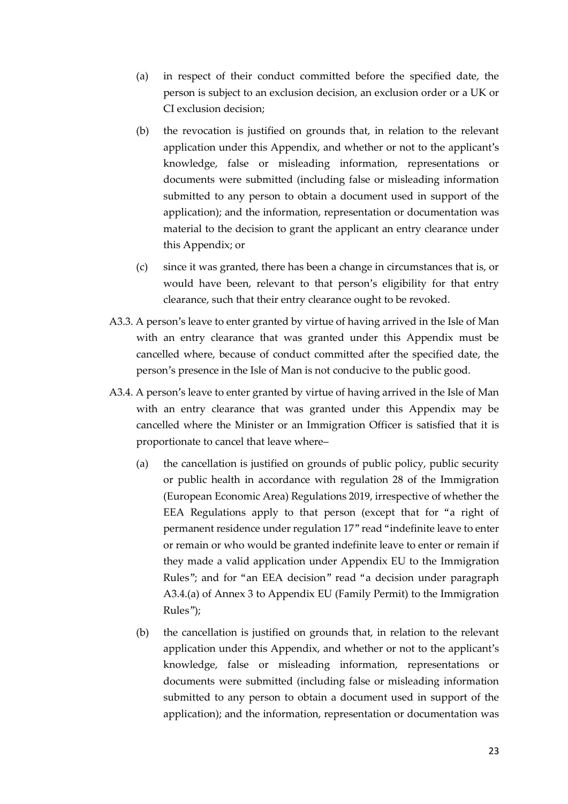- (a) in respect of their conduct committed before the specified date, the person is subject to an exclusion decision, an exclusion order or a UK or CI exclusion decision;
- (b) the revocation is justified on grounds that, in relation to the relevant application under this Appendix, and whether or not to the applicant's knowledge, false or misleading information, representations or documents were submitted (including false or misleading information submitted to any person to obtain a document used in support of the application); and the information, representation or documentation was material to the decision to grant the applicant an entry clearance under this Appendix; or
- (c) since it was granted, there has been a change in circumstances that is, or would have been, relevant to that person's eligibility for that entry clearance, such that their entry clearance ought to be revoked.
- A3.3. A person's leave to enter granted by virtue of having arrived in the Isle of Man with an entry clearance that was granted under this Appendix must be cancelled where, because of conduct committed after the specified date, the person's presence in the Isle of Man is not conducive to the public good.
- A3.4. A person's leave to enter granted by virtue of having arrived in the Isle of Man with an entry clearance that was granted under this Appendix may be cancelled where the Minister or an Immigration Officer is satisfied that it is proportionate to cancel that leave where–
	- (a) the cancellation is justified on grounds of public policy, public security or public health in accordance with regulation 28 of the Immigration (European Economic Area) Regulations 2019, irrespective of whether the EEA Regulations apply to that person (except that for "a right of permanent residence under regulation 17" read "indefinite leave to enter or remain or who would be granted indefinite leave to enter or remain if they made a valid application under Appendix EU to the Immigration Rules"; and for "an EEA decision" read "a decision under paragraph A3.4.(a) of Annex 3 to Appendix EU (Family Permit) to the Immigration Rules");
	- (b) the cancellation is justified on grounds that, in relation to the relevant application under this Appendix, and whether or not to the applicant's knowledge, false or misleading information, representations or documents were submitted (including false or misleading information submitted to any person to obtain a document used in support of the application); and the information, representation or documentation was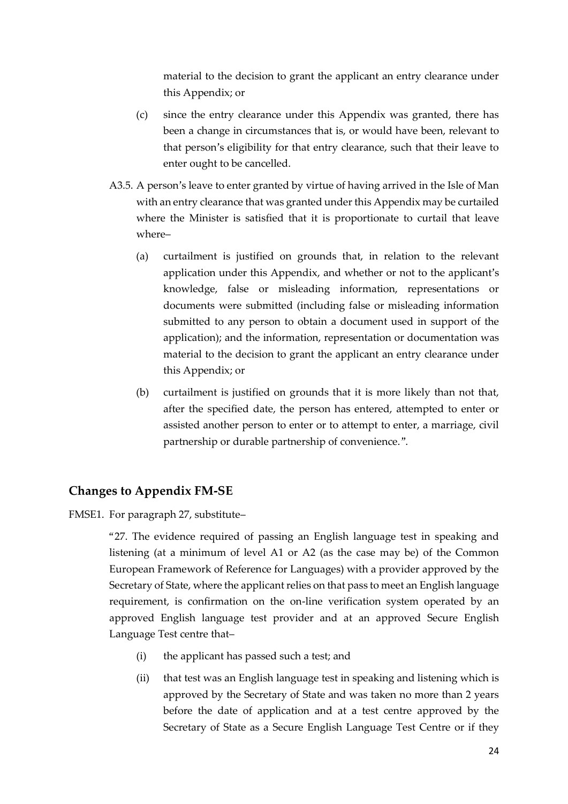material to the decision to grant the applicant an entry clearance under this Appendix; or

- (c) since the entry clearance under this Appendix was granted, there has been a change in circumstances that is, or would have been, relevant to that person's eligibility for that entry clearance, such that their leave to enter ought to be cancelled.
- A3.5. A person's leave to enter granted by virtue of having arrived in the Isle of Man with an entry clearance that was granted under this Appendix may be curtailed where the Minister is satisfied that it is proportionate to curtail that leave where–
	- (a) curtailment is justified on grounds that, in relation to the relevant application under this Appendix, and whether or not to the applicant's knowledge, false or misleading information, representations or documents were submitted (including false or misleading information submitted to any person to obtain a document used in support of the application); and the information, representation or documentation was material to the decision to grant the applicant an entry clearance under this Appendix; or
	- (b) curtailment is justified on grounds that it is more likely than not that, after the specified date, the person has entered, attempted to enter or assisted another person to enter or to attempt to enter, a marriage, civil partnership or durable partnership of convenience.".

### **Changes to Appendix FM-SE**

FMSE1. For paragraph 27, substitute–

"27. The evidence required of passing an English language test in speaking and listening (at a minimum of level A1 or A2 (as the case may be) of the Common European Framework of Reference for Languages) with a provider approved by the Secretary of State, where the applicant relies on that pass to meet an English language requirement, is confirmation on the on-line verification system operated by an approved English language test provider and at an approved Secure English Language Test centre that–

- (i) the applicant has passed such a test; and
- (ii) that test was an English language test in speaking and listening which is approved by the Secretary of State and was taken no more than 2 years before the date of application and at a test centre approved by the Secretary of State as a Secure English Language Test Centre or if they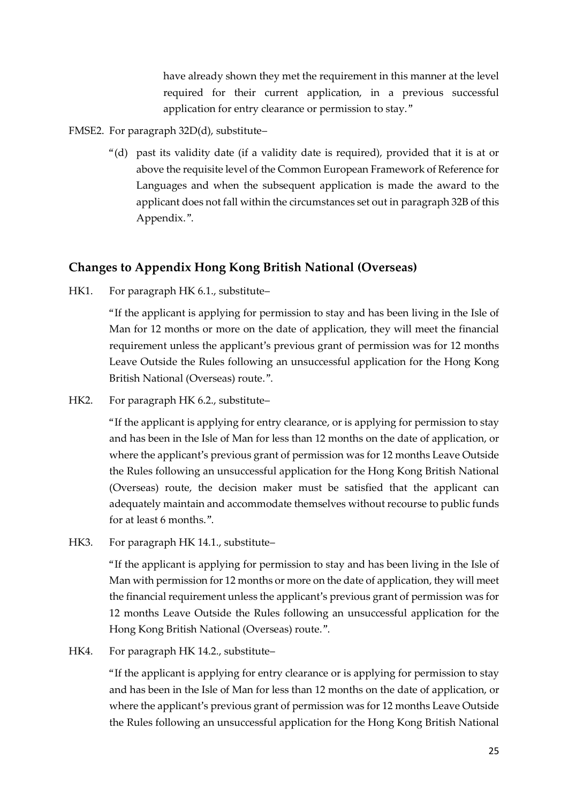have already shown they met the requirement in this manner at the level required for their current application, in a previous successful application for entry clearance or permission to stay."

FMSE2. For paragraph 32D(d), substitute–

"(d) past its validity date (if a validity date is required), provided that it is at or above the requisite level of the Common European Framework of Reference for Languages and when the subsequent application is made the award to the applicant does not fall within the circumstances set out in paragraph 32B of this Appendix.".

# **Changes to Appendix Hong Kong British National (Overseas)**

HK1. For paragraph HK 6.1., substitute-

"If the applicant is applying for permission to stay and has been living in the Isle of Man for 12 months or more on the date of application, they will meet the financial requirement unless the applicant's previous grant of permission was for 12 months Leave Outside the Rules following an unsuccessful application for the Hong Kong British National (Overseas) route.".

HK2. For paragraph HK 6.2., substitute–

"If the applicant is applying for entry clearance, or is applying for permission to stay and has been in the Isle of Man for less than 12 months on the date of application, or where the applicant's previous grant of permission was for 12 months Leave Outside the Rules following an unsuccessful application for the Hong Kong British National (Overseas) route, the decision maker must be satisfied that the applicant can adequately maintain and accommodate themselves without recourse to public funds for at least 6 months.".

HK3. For paragraph HK 14.1., substitute–

"If the applicant is applying for permission to stay and has been living in the Isle of Man with permission for 12 months or more on the date of application, they will meet the financial requirement unless the applicant's previous grant of permission was for 12 months Leave Outside the Rules following an unsuccessful application for the Hong Kong British National (Overseas) route.".

HK4. For paragraph HK 14.2., substitute–

"If the applicant is applying for entry clearance or is applying for permission to stay and has been in the Isle of Man for less than 12 months on the date of application, or where the applicant's previous grant of permission was for 12 months Leave Outside the Rules following an unsuccessful application for the Hong Kong British National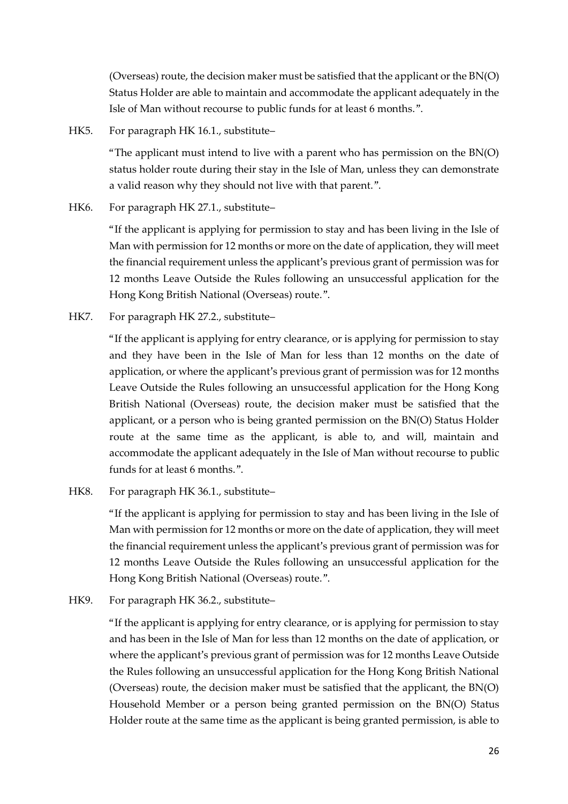(Overseas) route, the decision maker must be satisfied that the applicant or the BN(O) Status Holder are able to maintain and accommodate the applicant adequately in the Isle of Man without recourse to public funds for at least 6 months.".

HK5. For paragraph HK 16.1., substitute–

"The applicant must intend to live with a parent who has permission on the BN(O) status holder route during their stay in the Isle of Man, unless they can demonstrate a valid reason why they should not live with that parent.".

HK6. For paragraph HK 27.1., substitute–

"If the applicant is applying for permission to stay and has been living in the Isle of Man with permission for 12 months or more on the date of application, they will meet the financial requirement unless the applicant's previous grant of permission was for 12 months Leave Outside the Rules following an unsuccessful application for the Hong Kong British National (Overseas) route.".

HK7. For paragraph HK 27.2., substitute–

"If the applicant is applying for entry clearance, or is applying for permission to stay and they have been in the Isle of Man for less than 12 months on the date of application, or where the applicant's previous grant of permission was for 12 months Leave Outside the Rules following an unsuccessful application for the Hong Kong British National (Overseas) route, the decision maker must be satisfied that the applicant, or a person who is being granted permission on the BN(O) Status Holder route at the same time as the applicant, is able to, and will, maintain and accommodate the applicant adequately in the Isle of Man without recourse to public funds for at least 6 months.".

HK8. For paragraph HK 36.1., substitute–

"If the applicant is applying for permission to stay and has been living in the Isle of Man with permission for 12 months or more on the date of application, they will meet the financial requirement unless the applicant's previous grant of permission was for 12 months Leave Outside the Rules following an unsuccessful application for the Hong Kong British National (Overseas) route.".

HK9. For paragraph HK 36.2., substitute–

"If the applicant is applying for entry clearance, or is applying for permission to stay and has been in the Isle of Man for less than 12 months on the date of application, or where the applicant's previous grant of permission was for 12 months Leave Outside the Rules following an unsuccessful application for the Hong Kong British National (Overseas) route, the decision maker must be satisfied that the applicant, the BN(O) Household Member or a person being granted permission on the BN(O) Status Holder route at the same time as the applicant is being granted permission, is able to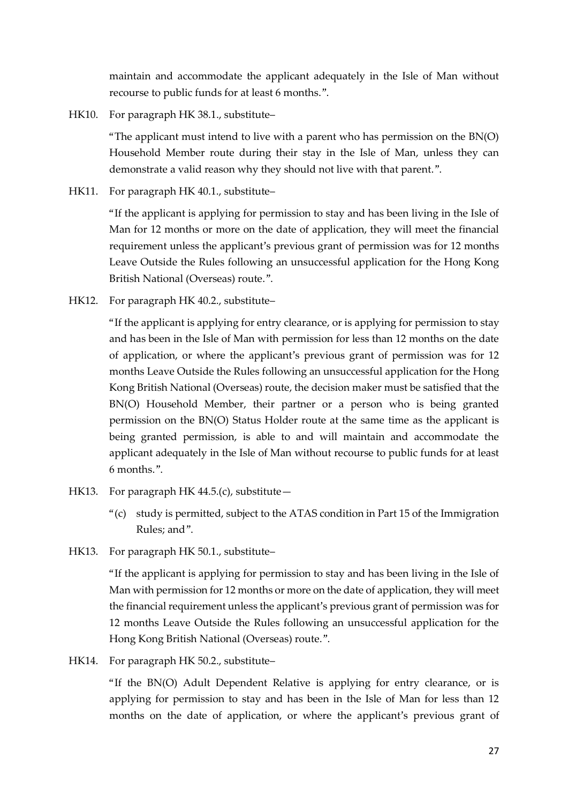maintain and accommodate the applicant adequately in the Isle of Man without recourse to public funds for at least 6 months.".

HK10. For paragraph HK 38.1., substitute–

"The applicant must intend to live with a parent who has permission on the BN(O) Household Member route during their stay in the Isle of Man, unless they can demonstrate a valid reason why they should not live with that parent.".

HK11. For paragraph HK 40.1., substitute–

"If the applicant is applying for permission to stay and has been living in the Isle of Man for 12 months or more on the date of application, they will meet the financial requirement unless the applicant's previous grant of permission was for 12 months Leave Outside the Rules following an unsuccessful application for the Hong Kong British National (Overseas) route.".

HK12. For paragraph HK 40.2., substitute–

"If the applicant is applying for entry clearance, or is applying for permission to stay and has been in the Isle of Man with permission for less than 12 months on the date of application, or where the applicant's previous grant of permission was for 12 months Leave Outside the Rules following an unsuccessful application for the Hong Kong British National (Overseas) route, the decision maker must be satisfied that the BN(O) Household Member, their partner or a person who is being granted permission on the BN(O) Status Holder route at the same time as the applicant is being granted permission, is able to and will maintain and accommodate the applicant adequately in the Isle of Man without recourse to public funds for at least 6 months.".

- HK13. For paragraph HK  $44.5(c)$ , substitute
	- "(c) study is permitted, subject to the ATAS condition in Part 15 of the Immigration Rules; and".
- HK13. For paragraph HK 50.1., substitute–

"If the applicant is applying for permission to stay and has been living in the Isle of Man with permission for 12 months or more on the date of application, they will meet the financial requirement unless the applicant's previous grant of permission was for 12 months Leave Outside the Rules following an unsuccessful application for the Hong Kong British National (Overseas) route.".

HK14. For paragraph HK 50.2., substitute–

"If the BN(O) Adult Dependent Relative is applying for entry clearance, or is applying for permission to stay and has been in the Isle of Man for less than 12 months on the date of application, or where the applicant's previous grant of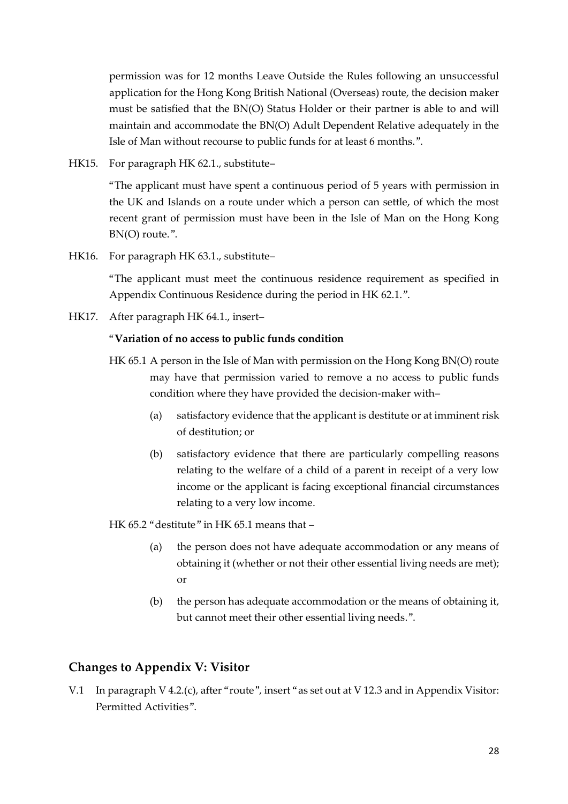permission was for 12 months Leave Outside the Rules following an unsuccessful application for the Hong Kong British National (Overseas) route, the decision maker must be satisfied that the BN(O) Status Holder or their partner is able to and will maintain and accommodate the BN(O) Adult Dependent Relative adequately in the Isle of Man without recourse to public funds for at least 6 months.".

HK15. For paragraph HK 62.1., substitute–

"The applicant must have spent a continuous period of 5 years with permission in the UK and Islands on a route under which a person can settle, of which the most recent grant of permission must have been in the Isle of Man on the Hong Kong BN(O) route.".

HK16. For paragraph HK 63.1., substitute–

"The applicant must meet the continuous residence requirement as specified in Appendix Continuous Residence during the period in HK 62.1.".

HK17. After paragraph HK 64.1., insert–

#### "**Variation of no access to public funds condition**

- HK 65.1 A person in the Isle of Man with permission on the Hong Kong BN(O) route may have that permission varied to remove a no access to public funds condition where they have provided the decision-maker with–
	- (a) satisfactory evidence that the applicant is destitute or at imminent risk of destitution; or
	- (b) satisfactory evidence that there are particularly compelling reasons relating to the welfare of a child of a parent in receipt of a very low income or the applicant is facing exceptional financial circumstances relating to a very low income.

HK 65.2 "destitute" in HK 65.1 means that –

- (a) the person does not have adequate accommodation or any means of obtaining it (whether or not their other essential living needs are met); or
- (b) the person has adequate accommodation or the means of obtaining it, but cannot meet their other essential living needs.".

## **Changes to Appendix V: Visitor**

V.1 In paragraph V 4.2.(c), after "route", insert "as set out at V 12.3 and in Appendix Visitor: Permitted Activities".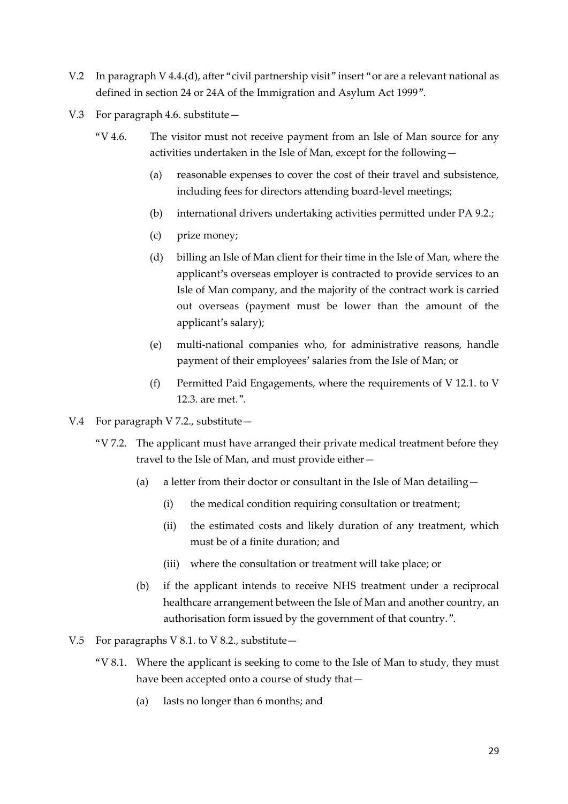- V.2 In paragraph V 4.4.(d), after "civil partnership visit" insert "or are a relevant national as defined in section 24 or 24A of the Immigration and Asylum Act 1999".
- V.3 For paragraph 4.6. substitute—
	- "V 4.6. The visitor must not receive payment from an Isle of Man source for any activities undertaken in the Isle of Man, except for the following—
		- (a) reasonable expenses to cover the cost of their travel and subsistence, including fees for directors attending board-level meetings;
		- (b) international drivers undertaking activities permitted under PA 9.2.;
		- (c) prize money;
		- (d) billing an Isle of Man client for their time in the Isle of Man, where the applicant's overseas employer is contracted to provide services to an Isle of Man company, and the majority of the contract work is carried out overseas (payment must be lower than the amount of the applicant's salary);
		- (e) multi-national companies who, for administrative reasons, handle payment of their employees' salaries from the Isle of Man; or
		- (f) Permitted Paid Engagements, where the requirements of V 12.1. to V 12.3. are met.".
- V.4 For paragraph V 7.2., substitute—
	- "V 7.2. The applicant must have arranged their private medical treatment before they travel to the Isle of Man, and must provide either—
		- (a) a letter from their doctor or consultant in the Isle of Man detailing—
			- (i) the medical condition requiring consultation or treatment;
			- (ii) the estimated costs and likely duration of any treatment, which must be of a finite duration; and
			- (iii) where the consultation or treatment will take place; or
		- (b) if the applicant intends to receive NHS treatment under a reciprocal healthcare arrangement between the Isle of Man and another country, an authorisation form issued by the government of that country.".
- V.5 For paragraphs V 8.1. to V 8.2., substitute—
	- "V 8.1. Where the applicant is seeking to come to the Isle of Man to study, they must have been accepted onto a course of study that—
		- (a) lasts no longer than 6 months; and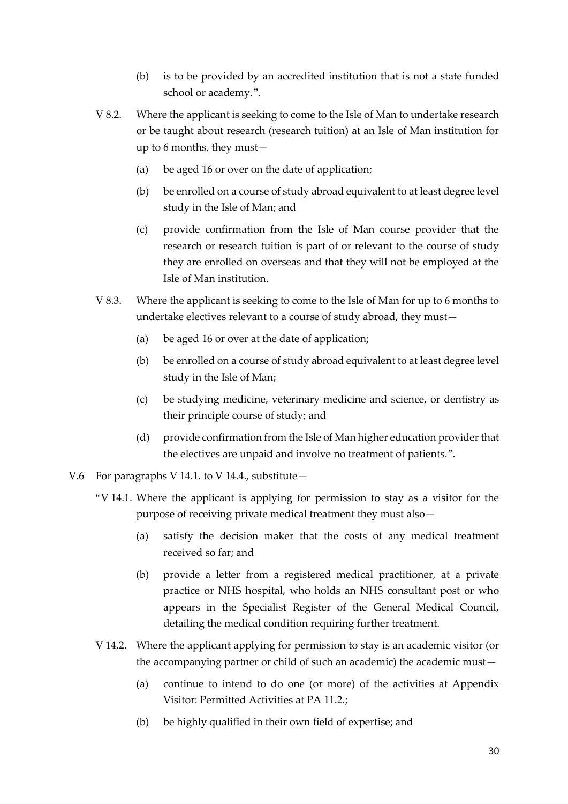- (b) is to be provided by an accredited institution that is not a state funded school or academy.".
- V 8.2. Where the applicant is seeking to come to the Isle of Man to undertake research or be taught about research (research tuition) at an Isle of Man institution for up to 6 months, they must—
	- (a) be aged 16 or over on the date of application;
	- (b) be enrolled on a course of study abroad equivalent to at least degree level study in the Isle of Man; and
	- (c) provide confirmation from the Isle of Man course provider that the research or research tuition is part of or relevant to the course of study they are enrolled on overseas and that they will not be employed at the Isle of Man institution.
- V 8.3. Where the applicant is seeking to come to the Isle of Man for up to 6 months to undertake electives relevant to a course of study abroad, they must—
	- (a) be aged 16 or over at the date of application;
	- (b) be enrolled on a course of study abroad equivalent to at least degree level study in the Isle of Man;
	- (c) be studying medicine, veterinary medicine and science, or dentistry as their principle course of study; and
	- (d) provide confirmation from the Isle of Man higher education provider that the electives are unpaid and involve no treatment of patients.".
- V.6 For paragraphs V 14.1. to V 14.4., substitute—
	- "V 14.1. Where the applicant is applying for permission to stay as a visitor for the purpose of receiving private medical treatment they must also—
		- (a) satisfy the decision maker that the costs of any medical treatment received so far; and
		- (b) provide a letter from a registered medical practitioner, at a private practice or NHS hospital, who holds an NHS consultant post or who appears in the Specialist Register of the General Medical Council, detailing the medical condition requiring further treatment.
	- V 14.2. Where the applicant applying for permission to stay is an academic visitor (or the accompanying partner or child of such an academic) the academic must—
		- (a) continue to intend to do one (or more) of the activities at Appendix Visitor: Permitted Activities at PA 11.2.;
		- (b) be highly qualified in their own field of expertise; and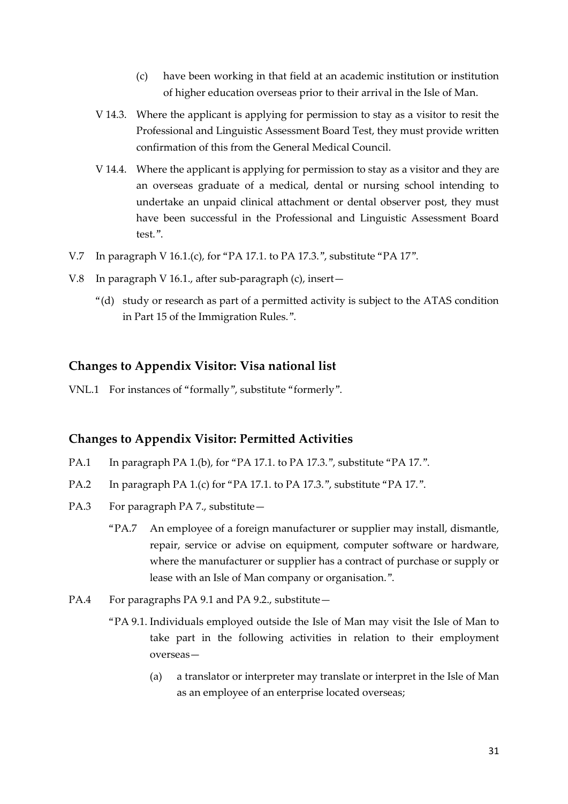- (c) have been working in that field at an academic institution or institution of higher education overseas prior to their arrival in the Isle of Man.
- V 14.3. Where the applicant is applying for permission to stay as a visitor to resit the Professional and Linguistic Assessment Board Test, they must provide written confirmation of this from the General Medical Council.
- V 14.4. Where the applicant is applying for permission to stay as a visitor and they are an overseas graduate of a medical, dental or nursing school intending to undertake an unpaid clinical attachment or dental observer post, they must have been successful in the Professional and Linguistic Assessment Board test."
- V.7 In paragraph V 16.1.(c), for "PA 17.1. to PA 17.3.", substitute "PA 17".
- V.8 In paragraph V 16.1., after sub-paragraph (c), insert—
	- "(d) study or research as part of a permitted activity is subject to the ATAS condition in Part 15 of the Immigration Rules.".

### **Changes to Appendix Visitor: Visa national list**

VNL.1 For instances of "formally", substitute "formerly".

#### **Changes to Appendix Visitor: Permitted Activities**

- PA.1 In paragraph PA 1.(b), for "PA 17.1. to PA 17.3.", substitute "PA 17.".
- PA.2 In paragraph PA 1.(c) for "PA 17.1. to PA 17.3.", substitute "PA 17.".
- PA.3 For paragraph PA 7., substitute-
	- "PA.7 An employee of a foreign manufacturer or supplier may install, dismantle, repair, service or advise on equipment, computer software or hardware, where the manufacturer or supplier has a contract of purchase or supply or lease with an Isle of Man company or organisation.".
- PA.4 For paragraphs PA 9.1 and PA 9.2., substitute -
	- "PA 9.1. Individuals employed outside the Isle of Man may visit the Isle of Man to take part in the following activities in relation to their employment overseas—
		- (a) a translator or interpreter may translate or interpret in the Isle of Man as an employee of an enterprise located overseas;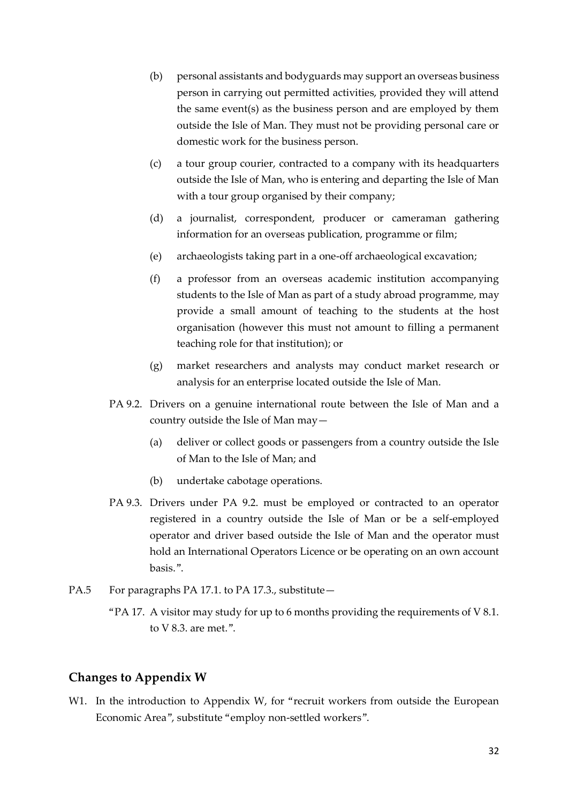- (b) personal assistants and bodyguards may support an overseas business person in carrying out permitted activities, provided they will attend the same event(s) as the business person and are employed by them outside the Isle of Man. They must not be providing personal care or domestic work for the business person.
- (c) a tour group courier, contracted to a company with its headquarters outside the Isle of Man, who is entering and departing the Isle of Man with a tour group organised by their company;
- (d) a journalist, correspondent, producer or cameraman gathering information for an overseas publication, programme or film;
- (e) archaeologists taking part in a one-off archaeological excavation;
- (f) a professor from an overseas academic institution accompanying students to the Isle of Man as part of a study abroad programme, may provide a small amount of teaching to the students at the host organisation (however this must not amount to filling a permanent teaching role for that institution); or
- (g) market researchers and analysts may conduct market research or analysis for an enterprise located outside the Isle of Man.
- PA 9.2. Drivers on a genuine international route between the Isle of Man and a country outside the Isle of Man may—
	- (a) deliver or collect goods or passengers from a country outside the Isle of Man to the Isle of Man; and
	- (b) undertake cabotage operations.
- PA 9.3. Drivers under PA 9.2. must be employed or contracted to an operator registered in a country outside the Isle of Man or be a self-employed operator and driver based outside the Isle of Man and the operator must hold an International Operators Licence or be operating on an own account basis.".
- PA.5 For paragraphs PA 17.1. to PA 17.3., substitute  $-$ 
	- "PA 17. A visitor may study for up to 6 months providing the requirements of  $V$  8.1. to V 8.3. are met.".

### **Changes to Appendix W**

W1. In the introduction to Appendix W, for "recruit workers from outside the European Economic Area", substitute "employ non-settled workers".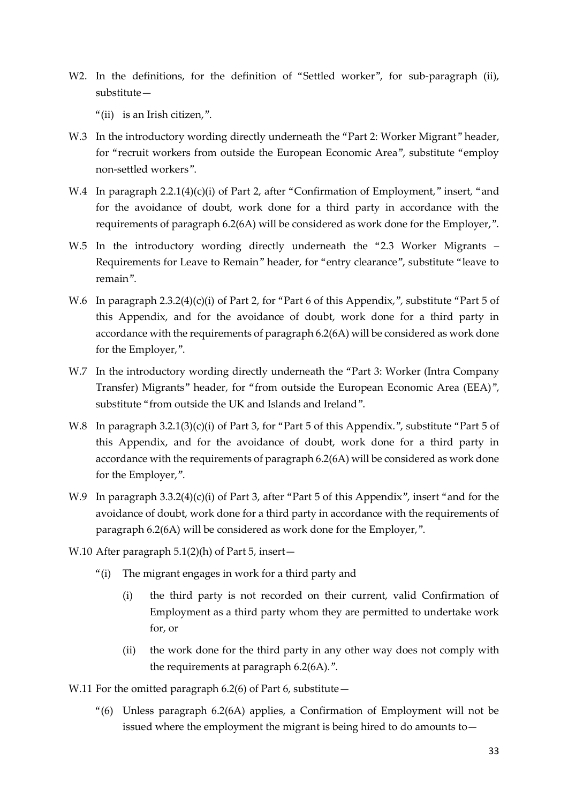W2. In the definitions, for the definition of "Settled worker", for sub-paragraph (ii), substitute—

"(ii) is an Irish citizen,".

- W.3 In the introductory wording directly underneath the "Part 2: Worker Migrant" header, for "recruit workers from outside the European Economic Area", substitute "employ non-settled workers".
- W.4 In paragraph 2.2.1(4)(c)(i) of Part 2, after "Confirmation of Employment," insert, "and for the avoidance of doubt, work done for a third party in accordance with the requirements of paragraph 6.2(6A) will be considered as work done for the Employer,".
- W.5 In the introductory wording directly underneath the "2.3 Worker Migrants Requirements for Leave to Remain" header, for "entry clearance", substitute "leave to remain".
- W.6 In paragraph 2.3.2(4)(c)(i) of Part 2, for "Part 6 of this Appendix,", substitute "Part 5 of this Appendix, and for the avoidance of doubt, work done for a third party in accordance with the requirements of paragraph 6.2(6A) will be considered as work done for the Employer,".
- W.7 In the introductory wording directly underneath the "Part 3: Worker (Intra Company Transfer) Migrants" header, for "from outside the European Economic Area (EEA)", substitute "from outside the UK and Islands and Ireland".
- W.8 In paragraph 3.2.1(3)(c)(i) of Part 3, for "Part 5 of this Appendix.", substitute "Part 5 of this Appendix, and for the avoidance of doubt, work done for a third party in accordance with the requirements of paragraph 6.2(6A) will be considered as work done for the Employer,".
- W.9 In paragraph 3.3.2(4)(c)(i) of Part 3, after "Part 5 of this Appendix", insert "and for the avoidance of doubt, work done for a third party in accordance with the requirements of paragraph 6.2(6A) will be considered as work done for the Employer,".
- W.10 After paragraph 5.1(2)(h) of Part 5, insert—
	- "(i) The migrant engages in work for a third party and
		- (i) the third party is not recorded on their current, valid Confirmation of Employment as a third party whom they are permitted to undertake work for, or
		- (ii) the work done for the third party in any other way does not comply with the requirements at paragraph 6.2(6A).".
- W.11 For the omitted paragraph  $6.2(6)$  of Part 6, substitute  $-$ 
	- "(6) Unless paragraph 6.2(6A) applies, a Confirmation of Employment will not be issued where the employment the migrant is being hired to do amounts to—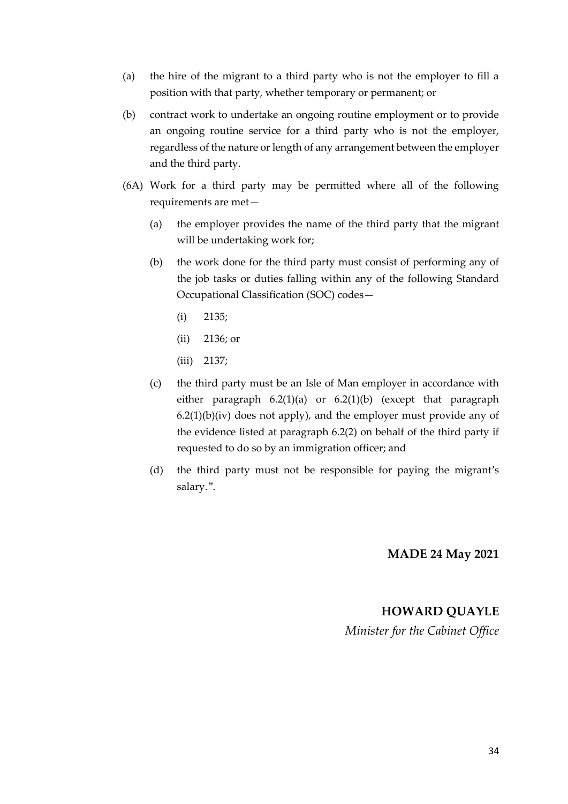- (a) the hire of the migrant to a third party who is not the employer to fill a position with that party, whether temporary or permanent; or
- (b) contract work to undertake an ongoing routine employment or to provide an ongoing routine service for a third party who is not the employer, regardless of the nature or length of any arrangement between the employer and the third party.
- (6A) Work for a third party may be permitted where all of the following requirements are met—
	- (a) the employer provides the name of the third party that the migrant will be undertaking work for;
	- (b) the work done for the third party must consist of performing any of the job tasks or duties falling within any of the following Standard Occupational Classification (SOC) codes—
		- (i) 2135;
		- (ii) 2136; or
		- (iii) 2137;
	- (c) the third party must be an Isle of Man employer in accordance with either paragraph 6.2(1)(a) or 6.2(1)(b) (except that paragraph  $6.2(1)(b)(iv)$  does not apply), and the employer must provide any of the evidence listed at paragraph 6.2(2) on behalf of the third party if requested to do so by an immigration officer; and
	- (d) the third party must not be responsible for paying the migrant's salary.".

### **MADE 24 May 2021**

### **HOWARD QUAYLE**

*Minister for the Cabinet Office*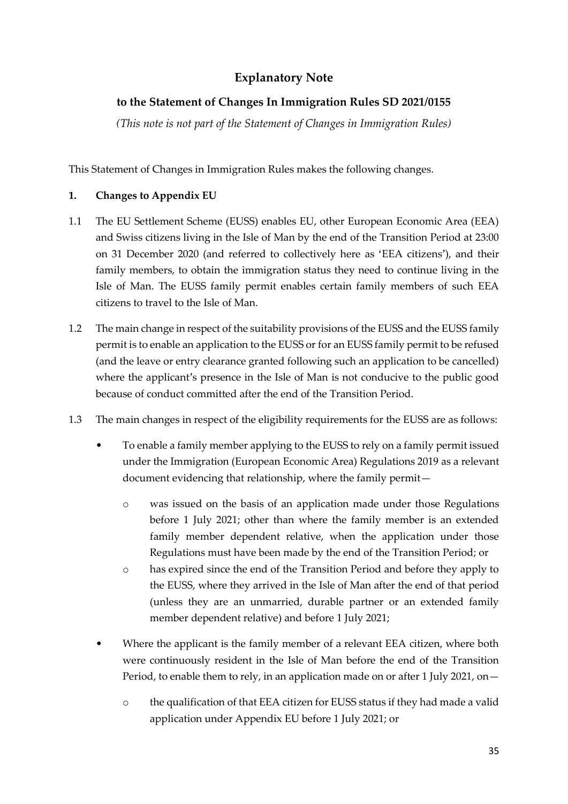# **Explanatory Note**

# **to the Statement of Changes In Immigration Rules SD 2021/0155**

*(This note is not part of the Statement of Changes in Immigration Rules)*

This Statement of Changes in Immigration Rules makes the following changes.

## **1. Changes to Appendix EU**

- 1.1 The EU Settlement Scheme (EUSS) enables EU, other European Economic Area (EEA) and Swiss citizens living in the Isle of Man by the end of the Transition Period at 23:00 on 31 December 2020 (and referred to collectively here as 'EEA citizens'), and their family members, to obtain the immigration status they need to continue living in the Isle of Man. The EUSS family permit enables certain family members of such EEA citizens to travel to the Isle of Man.
- 1.2 The main change in respect of the suitability provisions of the EUSS and the EUSS family permit is to enable an application to the EUSS or for an EUSS family permit to be refused (and the leave or entry clearance granted following such an application to be cancelled) where the applicant's presence in the Isle of Man is not conducive to the public good because of conduct committed after the end of the Transition Period.
- 1.3 The main changes in respect of the eligibility requirements for the EUSS are as follows:
	- To enable a family member applying to the EUSS to rely on a family permit issued under the Immigration (European Economic Area) Regulations 2019 as a relevant document evidencing that relationship, where the family permit
		- o was issued on the basis of an application made under those Regulations before 1 July 2021; other than where the family member is an extended family member dependent relative, when the application under those Regulations must have been made by the end of the Transition Period; or
		- o has expired since the end of the Transition Period and before they apply to the EUSS, where they arrived in the Isle of Man after the end of that period (unless they are an unmarried, durable partner or an extended family member dependent relative) and before 1 July 2021;
	- Where the applicant is the family member of a relevant EEA citizen, where both were continuously resident in the Isle of Man before the end of the Transition Period, to enable them to rely, in an application made on or after 1 July 2021, on
		- o the qualification of that EEA citizen for EUSS status if they had made a valid application under Appendix EU before 1 July 2021; or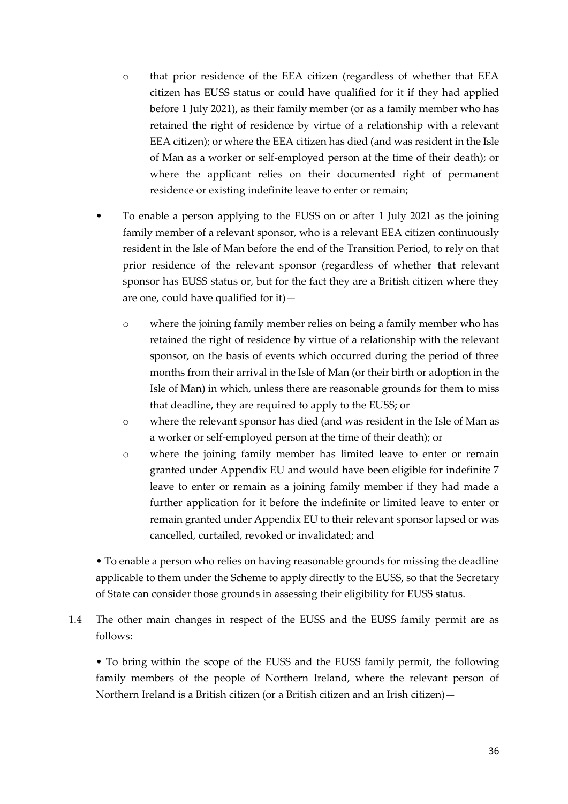- o that prior residence of the EEA citizen (regardless of whether that EEA citizen has EUSS status or could have qualified for it if they had applied before 1 July 2021), as their family member (or as a family member who has retained the right of residence by virtue of a relationship with a relevant EEA citizen); or where the EEA citizen has died (and was resident in the Isle of Man as a worker or self-employed person at the time of their death); or where the applicant relies on their documented right of permanent residence or existing indefinite leave to enter or remain;
- To enable a person applying to the EUSS on or after 1 July 2021 as the joining family member of a relevant sponsor, who is a relevant EEA citizen continuously resident in the Isle of Man before the end of the Transition Period, to rely on that prior residence of the relevant sponsor (regardless of whether that relevant sponsor has EUSS status or, but for the fact they are a British citizen where they are one, could have qualified for it)
	- o where the joining family member relies on being a family member who has retained the right of residence by virtue of a relationship with the relevant sponsor, on the basis of events which occurred during the period of three months from their arrival in the Isle of Man (or their birth or adoption in the Isle of Man) in which, unless there are reasonable grounds for them to miss that deadline, they are required to apply to the EUSS; or
	- o where the relevant sponsor has died (and was resident in the Isle of Man as a worker or self-employed person at the time of their death); or
	- o where the joining family member has limited leave to enter or remain granted under Appendix EU and would have been eligible for indefinite 7 leave to enter or remain as a joining family member if they had made a further application for it before the indefinite or limited leave to enter or remain granted under Appendix EU to their relevant sponsor lapsed or was cancelled, curtailed, revoked or invalidated; and

• To enable a person who relies on having reasonable grounds for missing the deadline applicable to them under the Scheme to apply directly to the EUSS, so that the Secretary of State can consider those grounds in assessing their eligibility for EUSS status.

1.4 The other main changes in respect of the EUSS and the EUSS family permit are as follows:

• To bring within the scope of the EUSS and the EUSS family permit, the following family members of the people of Northern Ireland, where the relevant person of Northern Ireland is a British citizen (or a British citizen and an Irish citizen)—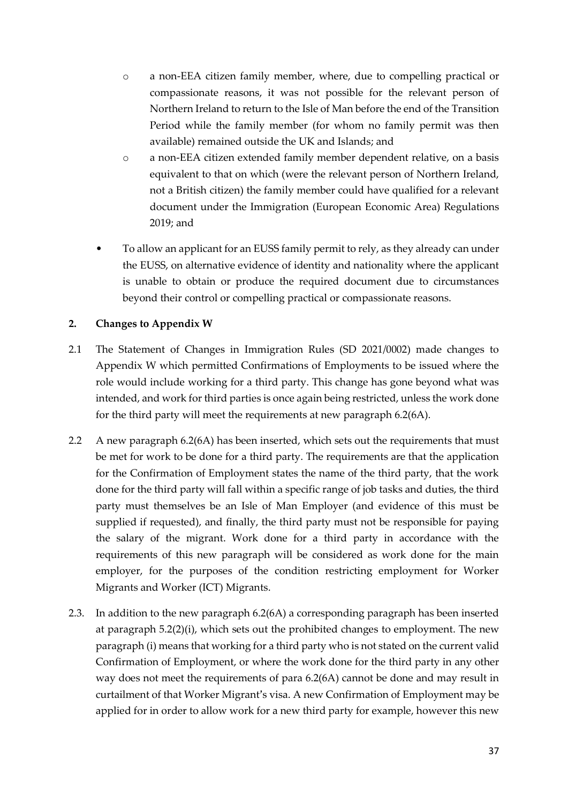- o a non-EEA citizen family member, where, due to compelling practical or compassionate reasons, it was not possible for the relevant person of Northern Ireland to return to the Isle of Man before the end of the Transition Period while the family member (for whom no family permit was then available) remained outside the UK and Islands; and
- o a non-EEA citizen extended family member dependent relative, on a basis equivalent to that on which (were the relevant person of Northern Ireland, not a British citizen) the family member could have qualified for a relevant document under the Immigration (European Economic Area) Regulations 2019; and
- To allow an applicant for an EUSS family permit to rely, as they already can under the EUSS, on alternative evidence of identity and nationality where the applicant is unable to obtain or produce the required document due to circumstances beyond their control or compelling practical or compassionate reasons.

## **2. Changes to Appendix W**

- 2.1 The Statement of Changes in Immigration Rules (SD 2021/0002) made changes to Appendix W which permitted Confirmations of Employments to be issued where the role would include working for a third party. This change has gone beyond what was intended, and work for third parties is once again being restricted, unless the work done for the third party will meet the requirements at new paragraph 6.2(6A).
- 2.2 A new paragraph 6.2(6A) has been inserted, which sets out the requirements that must be met for work to be done for a third party. The requirements are that the application for the Confirmation of Employment states the name of the third party, that the work done for the third party will fall within a specific range of job tasks and duties, the third party must themselves be an Isle of Man Employer (and evidence of this must be supplied if requested), and finally, the third party must not be responsible for paying the salary of the migrant. Work done for a third party in accordance with the requirements of this new paragraph will be considered as work done for the main employer, for the purposes of the condition restricting employment for Worker Migrants and Worker (ICT) Migrants.
- 2.3. In addition to the new paragraph 6.2(6A) a corresponding paragraph has been inserted at paragraph 5.2(2)(i), which sets out the prohibited changes to employment. The new paragraph (i) means that working for a third party who is not stated on the current valid Confirmation of Employment, or where the work done for the third party in any other way does not meet the requirements of para 6.2(6A) cannot be done and may result in curtailment of that Worker Migrant's visa. A new Confirmation of Employment may be applied for in order to allow work for a new third party for example, however this new